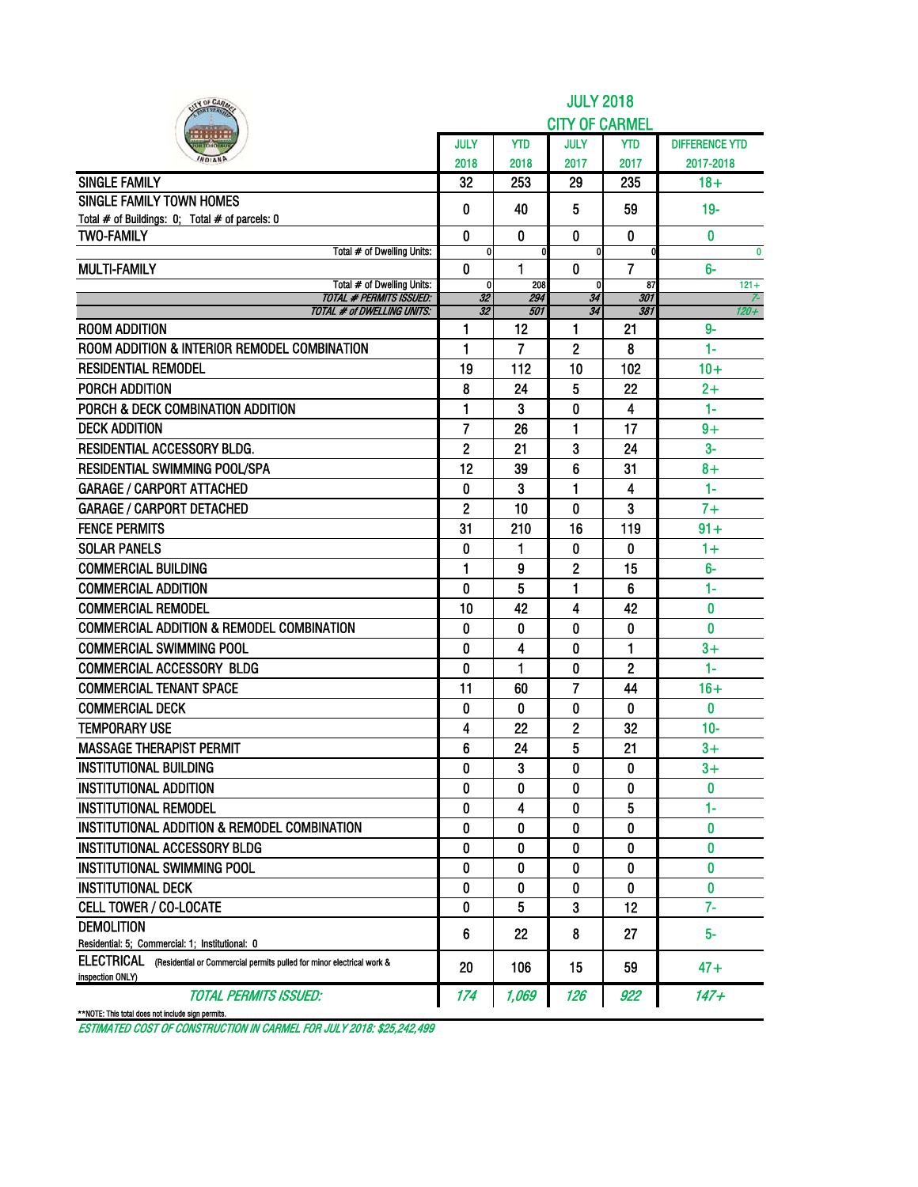|                                                                                                                | JULY<br>2018      | <b>YTD</b>     | <b>CITY OF CARMEL</b><br><b>JULY</b> |                |                       |
|----------------------------------------------------------------------------------------------------------------|-------------------|----------------|--------------------------------------|----------------|-----------------------|
|                                                                                                                |                   |                |                                      |                |                       |
|                                                                                                                |                   |                |                                      | <b>YTD</b>     | <b>DIFFERENCE YTD</b> |
|                                                                                                                |                   | 2018           | 2017                                 | 2017           | 2017-2018             |
| <b>SINGLE FAMILY</b>                                                                                           | 32                | 253            | 29                                   | 235            | $18 +$                |
| <b>SINGLE FAMILY TOWN HOMES</b>                                                                                | 0                 | 40             | 5                                    | 59             | $19-$                 |
| Total # of Buildings: 0; Total # of parcels: 0                                                                 |                   |                |                                      |                |                       |
| <b>TWO-FAMILY</b><br>Total # of Dwelling Units:                                                                | $\mathbf{0}$<br>0 | $\mathbf{0}$   | $\mathbf{0}$<br>0                    | $\mathbf{0}$   | $\bf{0}$<br>$\bf{0}$  |
| <b>MULTI-FAMILY</b>                                                                                            | 0                 | 1              | 0                                    | 7              | 6-                    |
| Total # of Dwelling Units:                                                                                     | $\mathbf{0}$      | 208            | $\mathbf{0}$                         | 87             | $121 +$               |
| <b>TOTAL # PERMITS ISSUED:</b><br><b>TOTAL # of DWELLING UNITS:</b>                                            | 32<br>32          | 294<br>501     | 34<br>34                             | 301<br>381     | $120 +$               |
| <b>ROOM ADDITION</b>                                                                                           | 1                 | 12             | 1                                    | 21             | $9-$                  |
| ROOM ADDITION & INTERIOR REMODEL COMBINATION                                                                   | 1                 | $\overline{7}$ | 2                                    | 8              | $1-$                  |
| <b>RESIDENTIAL REMODEL</b>                                                                                     | 19                | 112            | 10                                   | 102            | $10+$                 |
| PORCH ADDITION                                                                                                 | 8                 | 24             | 5                                    | 22             | $2+$                  |
| PORCH & DECK COMBINATION ADDITION                                                                              | 1                 | 3              | 0                                    | 4              | $1-$                  |
| <b>DECK ADDITION</b>                                                                                           | 7                 | 26             | 1                                    | 17             | $9+$                  |
| <b>RESIDENTIAL ACCESSORY BLDG.</b>                                                                             | $\mathbf{2}$      | 21             | 3                                    | 24             | $3-$                  |
| RESIDENTIAL SWIMMING POOL/SPA                                                                                  | 12                | 39             | 6                                    | 31             | $8+$                  |
| <b>GARAGE / CARPORT ATTACHED</b>                                                                               | 0                 | 3              | 1                                    | 4              | $1 -$                 |
| <b>GARAGE / CARPORT DETACHED</b>                                                                               | $\mathbf{2}$      | 10             | 0                                    | 3              | $7+$                  |
| <b>FENCE PERMITS</b>                                                                                           | 31                | 210            | 16                                   | 119            | $91 +$                |
| <b>SOLAR PANELS</b>                                                                                            | 0                 | 1              | 0                                    | 0              | $1+$                  |
| <b>COMMERCIAL BUILDING</b>                                                                                     | $\blacksquare$    | 9              | 2                                    | 15             | $6-$                  |
| <b>COMMERCIAL ADDITION</b>                                                                                     | 0                 | 5              | 1                                    | 6              | 1-                    |
| <b>COMMERCIAL REMODEL</b>                                                                                      | 10                | 42             | 4                                    | 42             | 0                     |
| <b>COMMERCIAL ADDITION &amp; REMODEL COMBINATION</b>                                                           | 0                 | 0              | 0                                    | 0              | 0                     |
| <b>COMMERCIAL SWIMMING POOL</b>                                                                                | 0                 | 4              | 0                                    | 1              | $3+$                  |
| <b>COMMERCIAL ACCESSORY BLDG</b>                                                                               | 0                 | 1              | 0                                    | $\overline{2}$ | $1-$                  |
| <b>COMMERCIAL TENANT SPACE</b>                                                                                 | 11                | 60             | 7                                    | 44             | $16+$                 |
| <b>COMMERCIAL DECK</b>                                                                                         | 0                 | $\mathbf{0}$   | 0                                    | $\bf{0}$       | $\bf{0}$              |
| <b>TEMPORARY USE</b>                                                                                           | 4                 | 22             | 2                                    | 32             | $10-$                 |
| <b>MASSAGE THERAPIST PERMIT</b>                                                                                | 6                 | 24             | 5                                    | 21             | $3+$                  |
| <b>INSTITUTIONAL BUILDING</b>                                                                                  | 0                 | 3              | O                                    | 0              | $3+$                  |
| <b>INSTITUTIONAL ADDITION</b>                                                                                  | 0                 | 0              | 0                                    | 0              | 0                     |
| <b>INSTITUTIONAL REMODEL</b>                                                                                   | 0                 | 4              | 0                                    | 5              | $1 -$                 |
| INSTITUTIONAL ADDITION & REMODEL COMBINATION                                                                   | 0                 | 0              | 0                                    | 0              | 0                     |
| <b>INSTITUTIONAL ACCESSORY BLDG</b>                                                                            | 0                 | 0              | 0                                    | 0              | 0                     |
| INSTITUTIONAL SWIMMING POOL                                                                                    | 0                 | 0              | 0                                    | 0              | 0                     |
| <b>INSTITUTIONAL DECK</b>                                                                                      | 0                 | 0              | 0                                    | 0              | $\mathbf{0}$          |
| <b>CELL TOWER / CO-LOCATE</b>                                                                                  | 0                 | 5              | 3                                    | 12             | $7-$                  |
| <b>DEMOLITION</b>                                                                                              | 6                 | 22             | 8                                    | 27             | 5-                    |
| Residential: 5; Commercial: 1; Institutional: 0                                                                |                   |                |                                      |                |                       |
| <b>ELECTRICAL</b><br>(Residential or Commercial permits pulled for minor electrical work &<br>inspection ONLY) | 20                | 106            | 15                                   | 59             | 47+                   |
| <b>TOTAL PERMITS ISSUED:</b><br>**NOTE: This total does not include sign permits.                              | 174               | 1,069          | 126                                  | 922            | 147+                  |

ESTIMATED COST OF CONSTRUCTION IN CARMEL FOR JULY 2018: \$25,242,499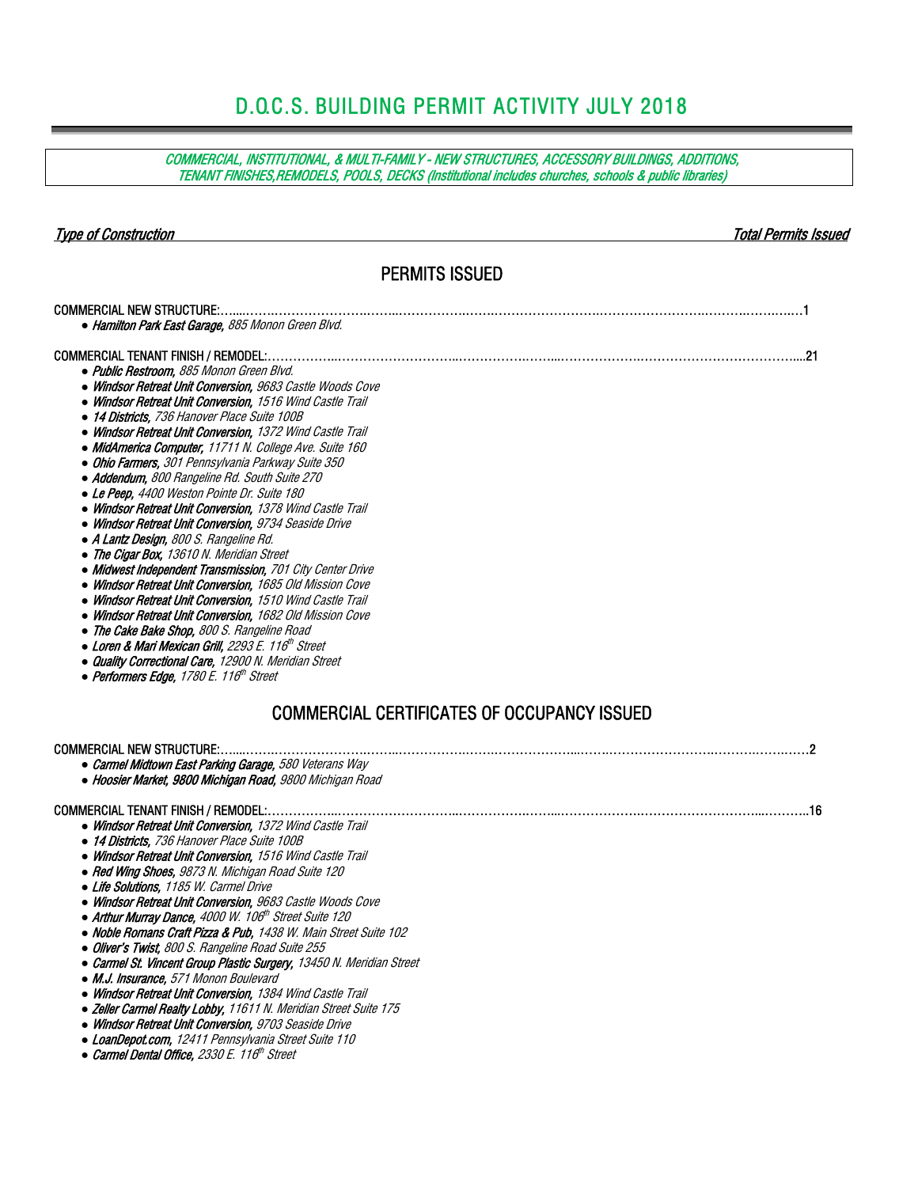# D.O.C.S. BUILDING PERMIT ACTIVITY JULY 2018

COMMERCIAL, INSTITUTIONAL, & MULTI-FAMILY - NEW STRUCTURES, ACCESSORY BUILDINGS, ADDITIONS, TENANT FINISHES,REMODELS, POOLS, DECKS (Institutional includes churches, schools & public libraries)

Type of Construction Total Permits Issued

### PERMITS ISSUED

| <b>COMMERCIAL NEW STRUCTURE:</b><br>• Hamilton Park East Garage, 885 Monon Green Blvd.                                                                                                                                                                                                                                                                                                                                                                                                                                                                                                                                                                                                                                                                                                                                                                                                                                                                                                                                                                                                                                                                                              |                                                    |
|-------------------------------------------------------------------------------------------------------------------------------------------------------------------------------------------------------------------------------------------------------------------------------------------------------------------------------------------------------------------------------------------------------------------------------------------------------------------------------------------------------------------------------------------------------------------------------------------------------------------------------------------------------------------------------------------------------------------------------------------------------------------------------------------------------------------------------------------------------------------------------------------------------------------------------------------------------------------------------------------------------------------------------------------------------------------------------------------------------------------------------------------------------------------------------------|----------------------------------------------------|
| · Public Restroom, 885 Monon Green Blvd.<br>• Windsor Retreat Unit Conversion, 9683 Castle Woods Cove<br>• Windsor Retreat Unit Conversion, 1516 Wind Castle Trail<br>• 14 Districts, 736 Hanover Place Suite 100B<br>• Windsor Retreat Unit Conversion, 1372 Wind Castle Trail<br>• MidAmerica Computer, 11711 N. College Ave. Suite 160<br>• Ohio Farmers, 301 Pennsylvania Parkway Suite 350<br>• Addendum, 800 Rangeline Rd. South Suite 270<br>• Le Peep, 4400 Weston Pointe Dr. Suite 180<br>• Windsor Retreat Unit Conversion, 1378 Wind Castle Trail<br>• Windsor Retreat Unit Conversion, 9734 Seaside Drive<br>• A Lantz Design, 800 S. Rangeline Rd.<br>• The Cigar Box, 13610 N. Meridian Street<br>• Midwest Independent Transmission, 701 City Center Drive<br>• Windsor Retreat Unit Conversion, 1685 Old Mission Cove<br>• Windsor Retreat Unit Conversion, 1510 Wind Castle Trail<br>• Windsor Retreat Unit Conversion, 1682 Old Mission Cove<br>• The Cake Bake Shop, 800 S. Rangeline Road<br>• Loren & Mari Mexican Grill, 2293 E. 116th Street<br>• Quality Correctional Care, 12900 N. Meridian Street<br>• Performers Edge, 1780 E. 116 <sup>th</sup> Street |                                                    |
|                                                                                                                                                                                                                                                                                                                                                                                                                                                                                                                                                                                                                                                                                                                                                                                                                                                                                                                                                                                                                                                                                                                                                                                     | <b>COMMERCIAL CERTIFICATES OF OCCUPANCY ISSUED</b> |
| <b>COMMERCIAL NEW STRUCTURE:.</b><br>• Carmel Midtown East Parking Garage, 580 Veterans Way<br>• Hoosier Market, 9800 Michigan Road, 9800 Michigan Road                                                                                                                                                                                                                                                                                                                                                                                                                                                                                                                                                                                                                                                                                                                                                                                                                                                                                                                                                                                                                             |                                                    |
| <b>COMMERCIAL TENANT FINISH / REMODEL:</b><br>• Windsor Retreat Unit Conversion, 1372 Wind Castle Trail<br>• 14 Districts, 736 Hanover Place Suite 100B<br>• Windsor Retreat Unit Conversion, 1516 Wind Castle Trail<br>• Red Wing Shoes, 9873 N. Michigan Road Suite 120<br>• Life Solutions, 1185 W. Carmel Drive<br>• Windsor Retreat Unit Conversion, 9683 Castle Woods Cove<br>• Arthur Murray Dance, 4000 W. 106 <sup>th</sup> Street Suite 120<br>• Noble Romans Craft Pizza & Pub, 1438 W. Main Street Suite 102<br>• Oliver's Twist, 800 S. Rangeline Road Suite 255<br>• Carmel St. Vincent Group Plastic Surgery, 13450 N. Meridian Street<br>• M.J. Insurance, 571 Monon Boulevard<br>• Windsor Retreat Unit Conversion, 1384 Wind Castle Trail<br>• Zeller Carmel Realty Lobby, 11611 N. Meridian Street Suite 175<br>• Windsor Retreat Unit Conversion, 9703 Seaside Drive<br>• LoanDepot.com, 12411 Pennsylvania Street Suite 110<br>• Carmel Dental Office, 2330 E. 116 <sup>th</sup> Street                                                                                                                                                                        |                                                    |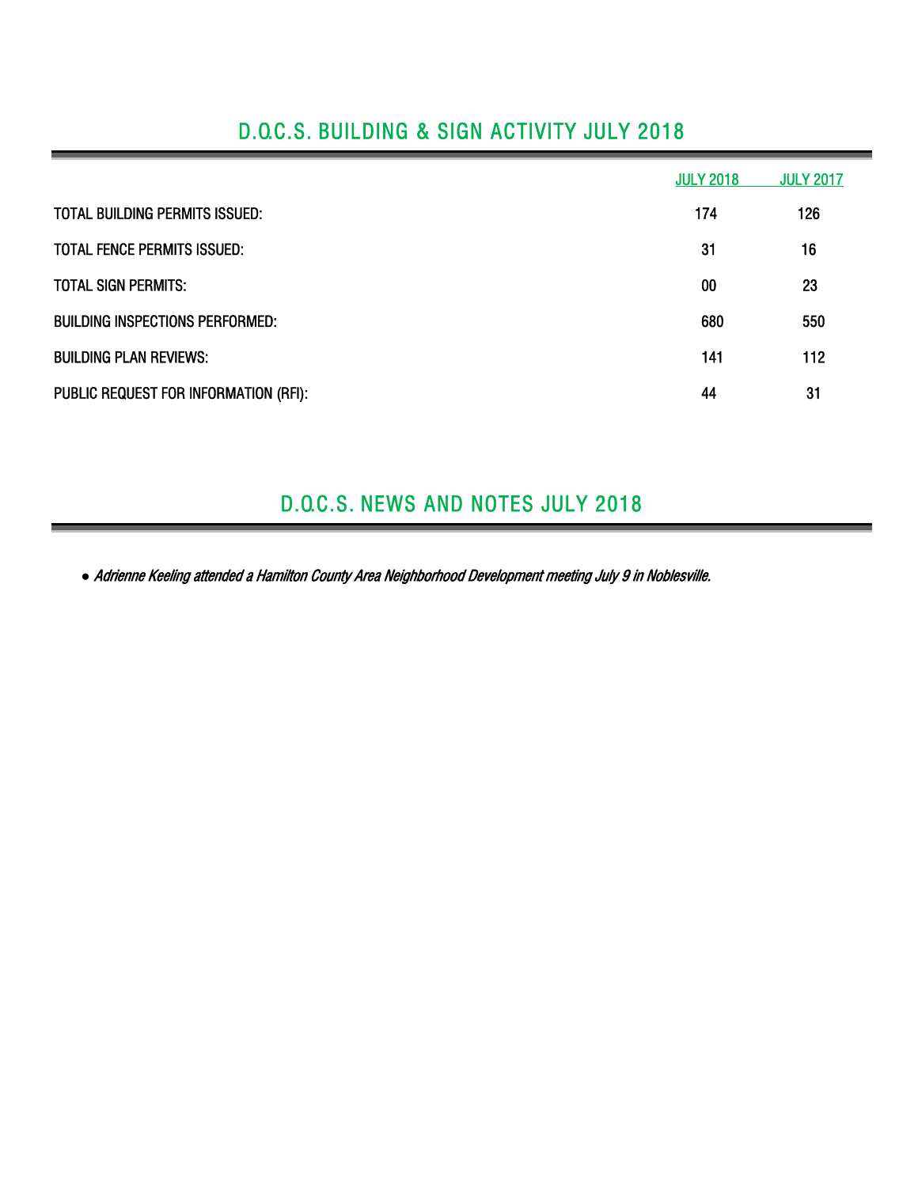|                                        | <b>JULY 2018</b> | <b>JULY 2017</b> |
|----------------------------------------|------------------|------------------|
| TOTAL BUILDING PERMITS ISSUED:         | 174              | 126              |
| <b>TOTAL FENCE PERMITS ISSUED:</b>     | 31               | 16               |
| <b>TOTAL SIGN PERMITS:</b>             | 00               | 23               |
| <b>BUILDING INSPECTIONS PERFORMED:</b> | 680              | 550              |
| <b>BUILDING PLAN REVIEWS:</b>          | 141              | 112              |
| PUBLIC REQUEST FOR INFORMATION (RFI):  | 44               | 31               |

## D.O.C.S. BUILDING & SIGN ACTIVITY JULY 2018

### D.O.C.S. NEWS AND NOTES JULY 2018

*●* Adrienne Keeling attended a Hamilton County Area Neighborhood Development meeting July 9 in Noblesville.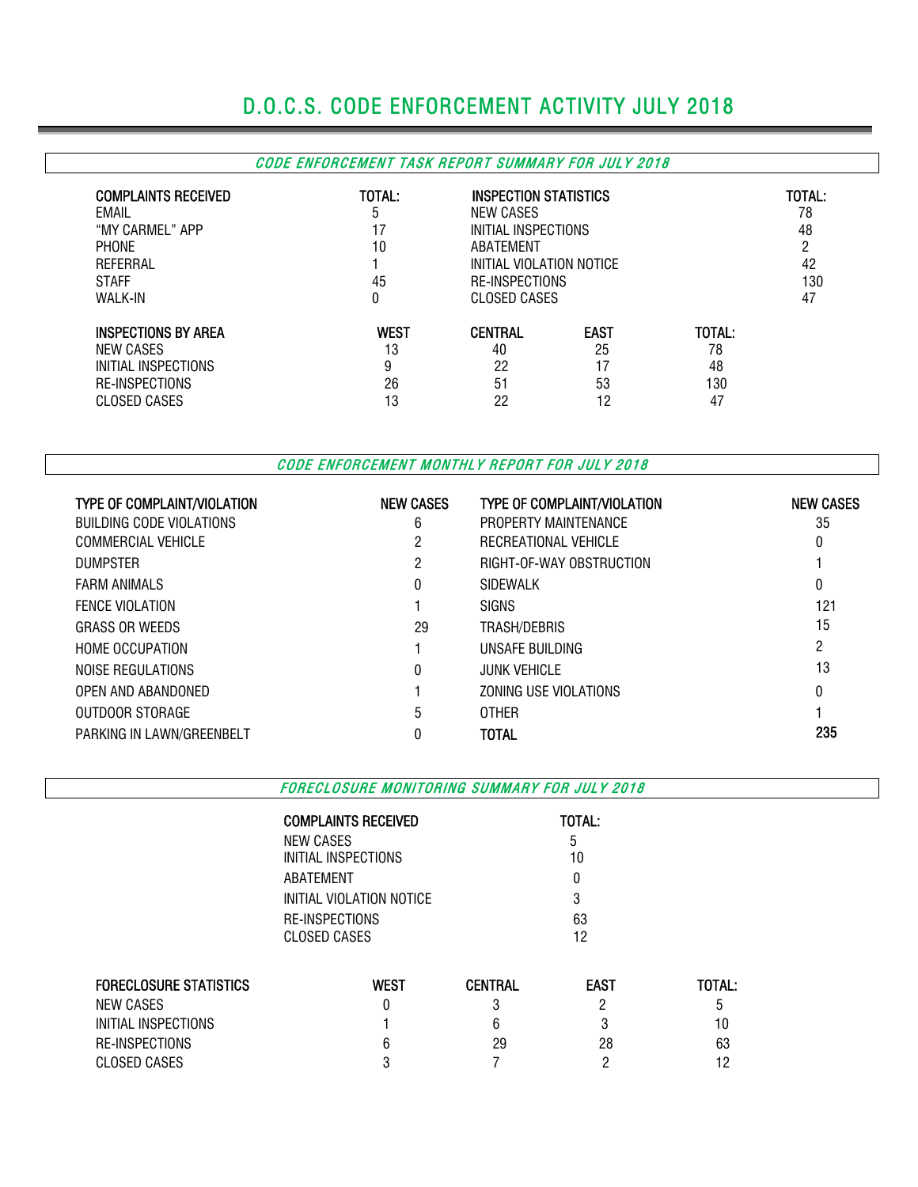# D.O.C.S. CODE ENFORCEMENT ACTIVITY JULY 2018

### CODE ENFORCEMENT TASK REPORT SUMMARY FOR JULY 2018

| <b>COMPLAINTS RECEIVED</b><br>EMAIL<br>"MY CARMEL" APP<br><b>PHONE</b><br>REFERRAL<br><b>STAFF</b><br><b>WALK-IN</b> | TOTAL:<br>5<br>17<br>10<br>45<br>0 | INSPECTION STATISTICS<br>NEW CASES<br>INITIAL INSPECTIONS<br>ABATEMENT<br>INITIAL VIOLATION NOTICE<br><b>RE-INSPECTIONS</b><br>CLOSED CASES |             |        | TOTAL:<br>78<br>48<br>n<br>42<br>130<br>47 |
|----------------------------------------------------------------------------------------------------------------------|------------------------------------|---------------------------------------------------------------------------------------------------------------------------------------------|-------------|--------|--------------------------------------------|
| <b>INSPECTIONS BY AREA</b>                                                                                           | <b>WEST</b>                        | <b>CENTRAL</b>                                                                                                                              | <b>EAST</b> | TOTAL: |                                            |
| NEW CASES                                                                                                            | 13                                 | 40                                                                                                                                          | 25          | 78     |                                            |
| INITIAL INSPECTIONS                                                                                                  | 9                                  | 22                                                                                                                                          | 17          | 48     |                                            |
| <b>RE-INSPECTIONS</b>                                                                                                | 26                                 | 51                                                                                                                                          | 53          | 130    |                                            |
| CLOSED CASES                                                                                                         | 13                                 | 22                                                                                                                                          | 12          | 47     |                                            |

CODE ENFORCEMENT MONTHLY REPORT FOR JULY 2018

| <b>TYPE OF COMPLAINT/VIOLATION</b> | <b>NEW CASES</b> | <b>TYPE OF COMPLAINT/VIOLATION</b> | <b>NEW CASES</b> |
|------------------------------------|------------------|------------------------------------|------------------|
| BUILDING CODE VIOLATIONS           | 6                | PROPERTY MAINTENANCE               | 35               |
| COMMERCIAL VEHICLE                 | 2                | RECREATIONAL VEHICLE               | 0                |
| <b>DUMPSTER</b>                    | 2                | RIGHT-OF-WAY OBSTRUCTION           |                  |
| <b>FARM ANIMALS</b>                | 0                | SIDEWALK                           | 0                |
| <b>FENCE VIOLATION</b>             |                  | <b>SIGNS</b>                       | 121              |
| <b>GRASS OR WEEDS</b>              | 29               | TRASH/DEBRIS                       | 15               |
| <b>HOME OCCUPATION</b>             |                  | UNSAFE BUILDING                    | $\overline{2}$   |
| NOISE REGULATIONS                  | 0                | JUNK VEHICLE.                      | 13               |
| OPEN AND ABANDONED                 |                  | ZONING USE VIOLATIONS              | $\theta$         |
| OUTDOOR STORAGE                    | 5                | <b>OTHER</b>                       |                  |
| PARKING IN LAWN/GREENBELT          |                  | TOTAL                              | 235              |

FORECLOSURE MONITORING SUMMARY FOR JULY 2018

COMPLAINTS RECEIVED **TOTAL:** 

|                               | <b>NEW CASES</b>         |                | b           |        |
|-------------------------------|--------------------------|----------------|-------------|--------|
|                               | INITIAL INSPECTIONS      |                | 10          |        |
|                               | ABATEMENT                |                | U           |        |
|                               | INITIAL VIOLATION NOTICE |                |             |        |
|                               | RE-INSPECTIONS           |                | 63          |        |
|                               | CLOSED CASES             |                | 12          |        |
|                               |                          |                |             |        |
| <b>FORECLOSURE STATISTICS</b> | <b>WEST</b>              | <b>CENTRAL</b> | <b>EAST</b> | TOTAL: |
| NEW CASES                     |                          | 3              | າ           | 5      |
| INITIAL INSPECTIONS           |                          | 6              | 3           | 10     |
| RE-INSPECTIONS                | h                        | 29             | 28          | 63     |
| <b>CLOSED CASES</b>           |                          |                | ŋ           | 12     |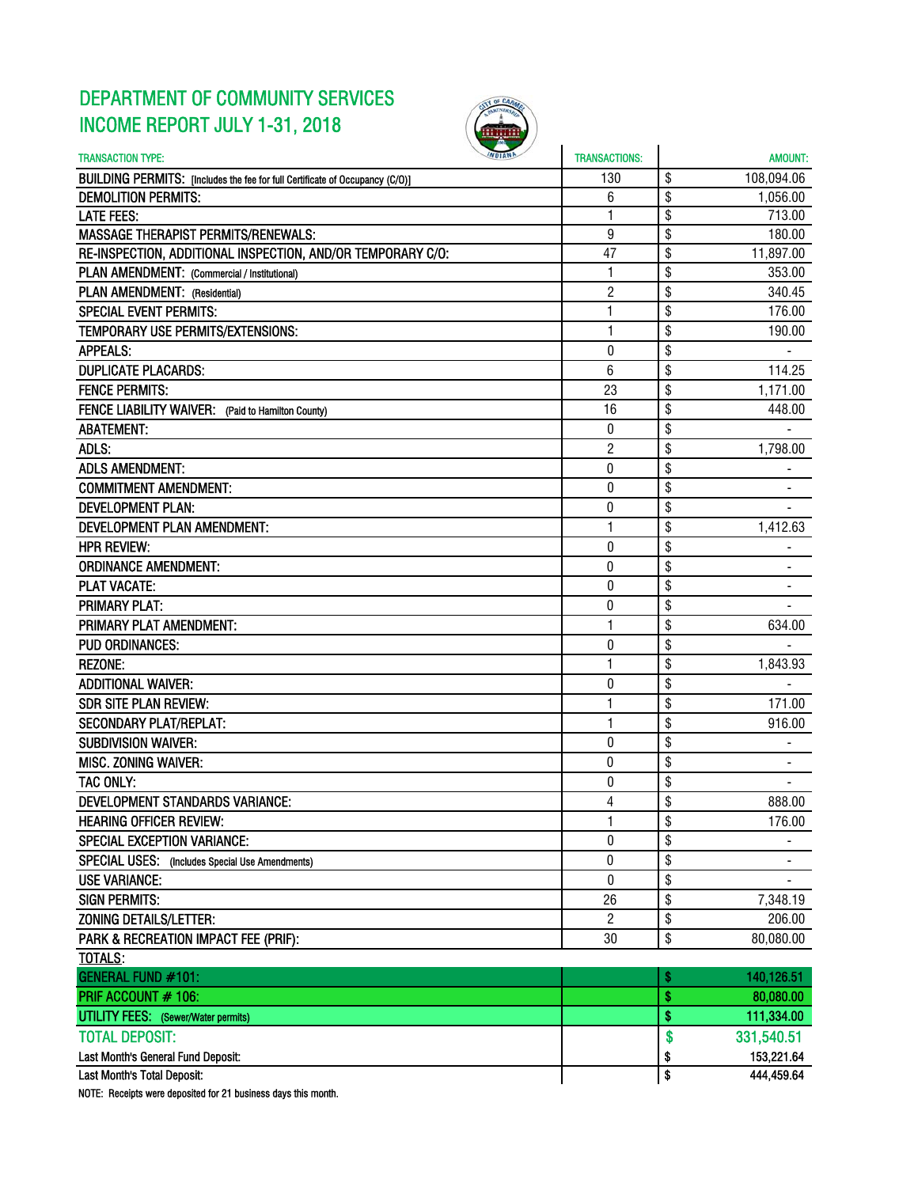## DEPARTMENT OF COMMUNITY SERVICES INCOME REPORT JULY 1-31, 2018



| <b><i>INDIANA</i></b><br><b>TRANSACTION TYPE:</b>                            | <b>TRANSACTIONS:</b> | <b>AMOUNT:</b>   |
|------------------------------------------------------------------------------|----------------------|------------------|
| BUILDING PERMITS: [Includes the fee for full Certificate of Occupancy (C/O)] | 130                  | \$<br>108,094.06 |
| <b>DEMOLITION PERMITS:</b>                                                   | 6                    | \$<br>1,056.00   |
| <b>LATE FEES:</b>                                                            | 1                    | \$<br>713.00     |
| <b>MASSAGE THERAPIST PERMITS/RENEWALS:</b>                                   | 9                    | \$<br>180.00     |
| RE-INSPECTION, ADDITIONAL INSPECTION, AND/OR TEMPORARY C/O:                  | 47                   | \$<br>11,897.00  |
| PLAN AMENDMENT: (Commercial / Institutional)                                 | 1                    | \$<br>353.00     |
| PLAN AMENDMENT: (Residential)                                                | $\overline{c}$       | \$<br>340.45     |
| <b>SPECIAL EVENT PERMITS:</b>                                                | 1                    | \$<br>176.00     |
| TEMPORARY USE PERMITS/EXTENSIONS:                                            | 1                    | \$<br>190.00     |
| <b>APPEALS:</b>                                                              | $\mathbf 0$          | \$               |
| <b>DUPLICATE PLACARDS:</b>                                                   | 6                    | \$<br>114.25     |
| <b>FENCE PERMITS:</b>                                                        | 23                   | \$<br>1,171.00   |
| FENCE LIABILITY WAIVER: (Paid to Hamilton County)                            | 16                   | \$<br>448.00     |
| <b>ABATEMENT:</b>                                                            | 0                    | \$               |
| ADLS:                                                                        | 2                    | \$<br>1,798.00   |
| <b>ADLS AMENDMENT:</b>                                                       | $\pmb{0}$            | \$               |
| <b>COMMITMENT AMENDMENT:</b>                                                 | 0                    | \$               |
| <b>DEVELOPMENT PLAN:</b>                                                     | 0                    | \$               |
| <b>DEVELOPMENT PLAN AMENDMENT:</b>                                           | 1                    | \$<br>1,412.63   |
| <b>HPR REVIEW:</b>                                                           | 0                    | \$               |
| <b>ORDINANCE AMENDMENT:</b>                                                  | $\pmb{0}$            | \$               |
| <b>PLAT VACATE:</b>                                                          | 0                    | \$               |
| <b>PRIMARY PLAT:</b>                                                         | 0                    | \$               |
| PRIMARY PLAT AMENDMENT:                                                      | $\mathbf{1}$         | \$<br>634.00     |
| <b>PUD ORDINANCES:</b>                                                       | 0                    | \$               |
| <b>REZONE:</b>                                                               | 1                    | \$<br>1,843.93   |
| <b>ADDITIONAL WAIVER:</b>                                                    | $\pmb{0}$            | \$               |
| <b>SDR SITE PLAN REVIEW:</b>                                                 | 1                    | \$<br>171.00     |
| <b>SECONDARY PLAT/REPLAT:</b>                                                | 1                    | \$<br>916.00     |
| <b>SUBDIVISION WAIVER:</b>                                                   | 0                    | \$               |
| <b>MISC. ZONING WAIVER:</b>                                                  | 0                    | \$               |
| <b>TAC ONLY:</b>                                                             | 0                    | \$               |
| <b>DEVELOPMENT STANDARDS VARIANCE:</b>                                       | 4                    | \$<br>888.00     |
| <b>HEARING OFFICER REVIEW:</b>                                               | 1                    | \$<br>176.00     |
| <b>SPECIAL EXCEPTION VARIANCE:</b>                                           | 0                    | \$               |
| SPECIAL USES: (Includes Special Use Amendments)                              | 0                    | \$               |
| <b>USE VARIANCE:</b>                                                         | 0                    | \$               |
| <b>SIGN PERMITS:</b>                                                         | 26                   | \$<br>7,348.19   |
| ZONING DETAILS/LETTER:                                                       | $\overline{c}$       | \$<br>206.00     |
| PARK & RECREATION IMPACT FEE (PRIF):                                         | 30                   | \$<br>80,080.00  |
| <b>TOTALS:</b>                                                               |                      |                  |
| <b>GENERAL FUND #101:</b>                                                    |                      | \$<br>140,126.51 |
| PRIF ACCOUNT # 106:                                                          |                      | \$<br>80,080.00  |
| <b>UTILITY FEES:</b> (Sewer/Water permits)                                   |                      | \$<br>111,334.00 |
| <b>TOTAL DEPOSIT:</b>                                                        |                      | \$<br>331,540.51 |
| Last Month's General Fund Deposit:                                           |                      | \$<br>153,221.64 |
| Last Month's Total Deposit:                                                  |                      | \$<br>444,459.64 |
|                                                                              |                      |                  |

NOTE: Receipts were deposited for 21 business days this month.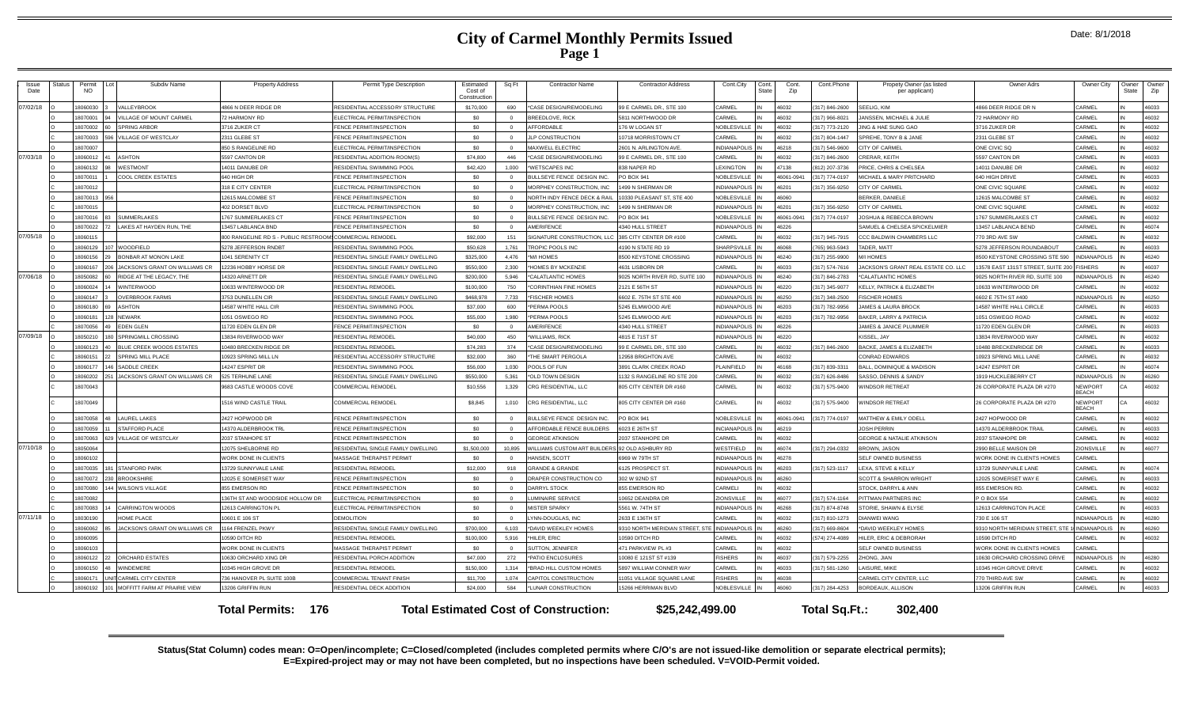| Issue<br>Date | Status | Permit<br><b>NO</b> | Subdiv Name                                        | <b>Property Address</b>                                 | Permit Type Description                               | Estimated<br>Cost of<br>Constructio | Sq Ft        | Contractor Name                                | <b>Contractor Address</b>                       | Cont.City                            | Cont.<br><b>State</b> | Cont.<br>Zip   | Cont.Phone     | Propety Owner (as listed<br>per applicant)   | Owner Adrs                               | Owner City              | Owner<br>State | Owner<br>Zip   |
|---------------|--------|---------------------|----------------------------------------------------|---------------------------------------------------------|-------------------------------------------------------|-------------------------------------|--------------|------------------------------------------------|-------------------------------------------------|--------------------------------------|-----------------------|----------------|----------------|----------------------------------------------|------------------------------------------|-------------------------|----------------|----------------|
| 07/02/18      |        | 8060030             | ALLEYBROOK                                         | <b>866 N DEER RIDGE DR</b>                              | <b>ESIDENTIAL ACCESSORY STRUCTURE</b>                 | \$170,000                           | <b>008</b>   | *CASE DESIGN/REMODELING                        | <b>B F CARMEL DR., STF 100</b>                  | CARMEL                               |                       | 46032          | 317) 846-2600  | SEELIG, KIM                                  | 866 DEER RIDGE DR N                      | CARMEL                  |                | 16033          |
|               |        | 18070001            | <b>/ILLAGE OF MOUNT CARMEL</b>                     | 2 HARMONY RD                                            | <b>I ECTRICAL PERMIT/INSPECTION</b>                   | \$0                                 | $\Omega$     | <b>BREEDLOVE, RICK</b>                         | 811 NORTHWOOD DR                                | CARMEL                               |                       | 46032          | 317) 966-8021  | JANSSEN, MICHAEL & JULIE                     | <b>2 HARMONY RD</b>                      | CARMEL                  |                | 16032          |
|               |        | 8070002             | <b>SPRING ARBOR</b>                                | 3716 ZUKER CT                                           | <b>ENCE PERMIT/INSPECTION</b>                         | sn                                  | $\Omega$     | <b>AFFORDABLE</b>                              | 76 W LOGAN ST                                   | NOBLESVILLE                          |                       | 46032          | 317) 773-2120  | JING & HAF SUNG GAO                          | 716 ZUKER DR                             | CARMEI                  |                | 46032          |
|               |        | 8070003             | <b>ILLAGE OF WESTCLAY</b>                          | 2311 GLEBE ST                                           | FENCE PERMIT/INSPECTION                               | \$0                                 | $\Omega$     | JLP CONSTRUCTION                               | 0718 MORRISTOWN CT                              | CARMEL                               |                       | 46032          | (317) 804-1447 | SPREHE. TONY B & JANE                        | 2311 GLEBE ST                            | CARMEI                  |                | 46032          |
|               |        | 8070007             |                                                    | <b>350 S RANGELINE RD</b>                               | LECTRICAL PERMIT/INSPECTION                           | \$0                                 |              | MAXWELL ELECTRIC                               | 2601 N. ARLINGTON AVE                           | <b>INDIANAPOLIS</b>                  |                       | 46218          | (317) 546-9600 | CITY OF CARMEL                               | ONE CIVIC SQ                             | CARMEI                  |                | 46032          |
| 07/03/18      |        | 18060012            | <b>ASHTON</b>                                      | 597 CANTON DR                                           | RESIDENTIAL ADDITION-ROOM(S)                          | \$74,800                            | 446          | *CASE DESIGN/REMODELING                        | 9 E CARMEL DR., STE 100                         | CARMEL                               |                       | 46032          | (317) 846-2600 | CRERAR, KEITH                                | 5597 CANTON DR                           | CARMEL                  |                | 16033          |
|               |        | 8060132             | <b>NESTMONT</b>                                    | 4011 DANUBE DR                                          | RESIDENTIAL SWIMMING POOL                             | \$42,420                            | 1.000        | <b>WETSCAPES INC</b>                           | 38 NAPER RD                                     | <b>LEXINGTON</b>                     |                       | 47138          | 812) 207-3736  | PRICE, CHRIS & CHELSEA                       | 4011 DANUBE DF                           | CARMEI                  |                | 16032          |
|               |        | 1807001             | COOL CREEK ESTATES                                 | 640 HIGH DR                                             | FENCE PERMIT/INSPECTION                               | -SO                                 |              | BULLSEYE FENCE DESIGN INC                      | O BOX 941                                       | <b>NOBLESVILLE</b>                   |                       | 46061-0941     | 317) 774-0197  | MICHAEL & MARY PRITCHARD                     | 640 HIGH DRIVE                           | CARMEI                  |                | 16033          |
|               |        | 18070012            |                                                    | 318 E CITY CENTER                                       | LECTRICAL PERMIT/INSPECTION                           | \$0                                 | $\Omega$     | MORPHEY CONSTRUCTION, INC                      | 499 N SHERMAN DR                                | <b>INDIANAPOLIS</b>                  |                       | 46201          | 317) 356-9250  | CITY OF CARMEL                               | ONE CIVIC SQUARE                         | CARMEL                  |                | 46032          |
|               |        | 18070013            |                                                    | 12615 MALCOMBE ST                                       | <b>FNCF PERMIT/INSPECTION</b>                         | \$0                                 |              | NORTH INDY FENCE DECK & RAIL                   | 0330 PLEASANT ST, STE 400                       | <b>NOBLESVILLE</b>                   |                       | 46060          |                | <b>BERKER, DANIELE</b>                       | 12615 MALCOMBE ST                        | CARMEL                  |                | 16032          |
|               |        | 18070015            |                                                    | <b>402 DORSET BLVD</b>                                  | LECTRICAL PERMIT/INSPECTION                           | \$0                                 | $\Omega$     | MORPHEY CONSTRUCTION, INC                      | 499 N SHERMAN DR                                | <b>INDIANAPOLIS</b>                  |                       | 46201          | 317) 356-9250  | CITY OF CARMEL                               | ONE CIVIC SQUARE                         | CARMEL                  |                | 16032          |
|               |        | 8070016             | <b>SUMMERLAKES</b>                                 | 767 SUMMERLAKES CT                                      | <b>ENCE PERMIT/INSPECTION</b>                         | \$0                                 |              | BULLSEYE FENCE DESIGN INC.                     | O BOX 941                                       | <b>NOBLESVILLE</b>                   |                       | 46061-0941     | 317) 774-0197  | JOSHUA & REBECCA BROWN                       | <b>767 SUMMERLAKES CT</b>                | CARMEI                  |                | 46032          |
|               |        | 18070022            | AKES AT HAYDEN RUN. THE                            | 3457 LABLANCA BND                                       | ENCE PERMIT/INSPECTION                                | \$0                                 |              | AMERIFENCE                                     | 340 HULL STREET                                 | <b>INDIANAPOLIS</b>                  |                       | 46226          |                | SAMUEL & CHELSEA SPICKELMIER                 | 3457 LABLANCA BEND                       | CARMEL                  |                | 16074          |
| 07/05/18      |        | 18060115            |                                                    | 300 RANGELINE RD S - PUBLIC RESTROOM COMMERCIAL REMODEL |                                                       | \$92,000                            | 151          | SIGNATURE CONSTRUCTION, LLC                    | 385 CITY CENTER DR #100                         | CARMEL                               |                       | 46032          | 317) 945-7915  | CCC BALDWIN CHAMBERS LLC                     | 70 3RD AVE SW                            | CARMEL                  |                | 16032          |
|               |        | 8060129             | WOODFIELD                                          | 278 JEFFERSON RNDBT                                     | RESIDENTIAL SWIMMING POOL                             | \$50,628                            | 1.761        | TROPIC POOLS INC                               | 190 N STATE RD 19                               | <b>SHARPSVILLE</b>                   |                       | 46068          | 765) 963-5943  | TADER, MATT                                  | <b>278 JEFFERSON ROUNDABOUT</b>          | CARMEL                  |                | 16033          |
|               |        | 18060156            | <b>BONBAR AT MONON LAKE</b>                        | 1041 SERENITY CT                                        | RESIDENTIAL SINGLE FAMILY DWELLING                    | \$325,000                           | 4.476        | *M/LHOMES                                      | 8500 KEYSTONE CROSSING                          | <b>INDIANAPOLIS</b>                  |                       | 46240          | (317) 255-9900 | M/LHOMES                                     | 3500 KEYSTONE CROSSING STE 590           | <b>INDIANAPOLIS</b>     |                | 46240          |
|               |        | 8060167             | JACKSON'S GRANT ON WILLIAMS CR                     | 2236 HOBBY HORSE DE                                     | RESIDENTIAL SINGLE FAMILY DWELLING                    | \$550,000                           | 2.300        | HOMES BY MCKENZIE                              | 4631 LISBORN DR                                 | CARMEL                               |                       | 46033          | 317) 574-7616  | JACKSON'S GRANT REAL ESTATE CO. LLC          | 3578 EAST 131ST STREET, SUITE 200        | <b>FISHERS</b>          |                | 16037          |
| 07/06/18      |        | 18050082            | RIDGE AT THE LEGACY, THE                           | 4320 ARNETT DR                                          | RESIDENTIAL SINGLE FAMILY DWELLING                    | \$200,000                           | 5,946        | *CALATLANTIC HOMES                             | 9025 NORTH RIVER RD, SUITE 100                  | <b>INDIANAPOLIS</b>                  |                       | 46240          | 317) 846-2783  | *CALATLANTIC HOMES                           | 025 NORTH RIVER RD. SUITE 100            | <b>INDIANAPOLIS</b>     |                | 16240          |
|               |        | 8060024             | WINTERWOOD                                         | 0633 WINTERWOOD DR                                      | RESIDENTIAL REMODEL                                   | \$100,000                           | 750          | *CORINTHIAN FINE HOMES                         | 121 E 56TH ST                                   | <b>INDIANAPOLIS</b>                  |                       | 46220          | 317) 345-9077  | KELLY, PATRICK & ELIZABETH                   | 0633 WINTERWOOD DR                       | CARMEL                  |                | 46032          |
|               |        | 18060147            | <b>OVERBROOK FARMS</b>                             | 3753 DUNELLEN CIR                                       | RESIDENTIAL SINGLE FAMILY DWELLING                    | \$468,978                           | 7.733        | *FISCHER HOMES                                 | 6602 E. 75TH ST STE 400                         | <b>INDIANAPOLIS</b>                  |                       | 46250          | 317) 348-2500  | <b>FISCHER HOMES</b>                         | 602 E 75TH ST #400                       | <b>INDIANAPOLIS</b>     |                | 16250          |
|               |        | 18060180            | ASHTON                                             | 4587 WHITE HALL CIF                                     | RESIDENTIAL SWIMMING POOL                             | \$37,000                            | 006          | <b>PERMA POOLS</b>                             | 5245 ELMWOOD AVE                                | <b>INDIANAPOLIS</b>                  |                       | 46203          | 317) 782-9956  | <b>JAMES &amp; LAURA BROCK</b>               | 4587 WHITE HALL CIRCLE                   | CARMEL                  |                | 16033          |
|               |        | 18060181            | <b>NEWARK</b>                                      | 051 OSWEGO RD                                           | RESIDENTIAL SWIMMING POOL                             | \$55,000                            | 1.980        | *PERMA POOLS                                   | 245 ELMWOOD AVE                                 | <b>INDIANAPOLIS</b>                  |                       | 46203          | 317) 782-9956  | <b>BAKER, LARRY &amp; PATRICIA</b>           | 051 OSWEGO ROAD                          | CARMEL                  |                | 46032          |
|               |        | 8070056             | <b>EDEN GLEN</b>                                   | 1720 EDEN GLEN DR                                       | <b>ENCE PERMIT/INSPECTION</b>                         | \$0                                 | $\Omega$     | <b>MERIFENCE</b>                               | 340 HULL STREET                                 | <b>INDIANAPOLIS</b>                  |                       | 46226          |                | JAMES & JANICE PLUMMER                       | 1720 EDEN GLEN DR                        | CARMEL                  |                | 16033          |
| 07/09/18      |        | 1805021             | SPRINGMILL CROSSING                                | 3834 RIVERWOOD WAY                                      | RESIDENTIAL REMODE                                    | \$40,000                            | 450          | <b>WILLIAMS, RICK</b>                          | 4815 E 71ST ST                                  | <b>INDIANAPOLIS</b>                  |                       | 46220          |                | (ISSEL, JAY                                  | 3834 RIVERWOOD WAY                       | CARMEI                  |                | 16032          |
|               |        | 18060123            | BLUE CREEK WOODS ESTATES                           | 0480 BRECKEN RIDGE DR                                   | RESIDENTIAL REMODEL                                   | \$74,283                            | 374          | *CASE DESIGN/REMODELING                        | 9 E CARMEL DR., STE 100                         | CARMEL                               |                       | 46032          | 317) 846-2600  | <b>BACKE, JAMES &amp; ELIZABETH</b>          | 0480 BRECKENRIDGE DR                     | CARMEL                  |                | 46033          |
|               |        | 18060151            | <b>SPRING MILL PLACE</b>                           | 0923 SPRING MILL LN                                     | RESIDENTIAL ACCESSORY STRUCTURE                       | \$32,000                            | 360          | <b>THE SMART PERGOLA</b>                       | 2958 BRIGHTON AVE                               | CARMEL                               |                       | 46032          |                | CONRAD EDWARDS                               | 0923 SPRING MILL LANE                    | CARMEL                  |                | 16032          |
|               |        | 18060177            | SADDLE CREEK                                       | 4247 ESPRIT DR                                          | RESIDENTIAL SWIMMING POOL                             | \$56,000                            | 1.030        | POOLS OF FUN                                   | 3891 CLARK CREEK ROAD                           | PLAINFIELD                           |                       | 46168          | 317) 839-3311  | BALL, DOMINIQUE & MADISON                    | 4247 ESPRIT DR                           | CARMEL                  |                | 46074          |
|               |        | 8060202             | <b>JACKSON'S GRANT ON WILLIAMS CR</b>              | 525 TERHUNE LANE                                        | RESIDENTIAL SINGLE FAMILY DWELLING                    | \$550,000                           | 5.361        | OLD TOWN DESIGN                                | 132 S RANGELINE RD STE 200                      | CARMEL                               |                       | 46032          | 317) 626-8486  | SASSO, DENNIS & SANDY                        | 1919 HUCKLEBERRY CT                      | <b>INDIANAPOLIS</b>     |                | 46260          |
|               |        | 18070043            |                                                    | 683 CASTLE WOODS COVE                                   | COMMERCIAL REMODEL                                    | \$10,556                            | 1.329        | CRG RESIDENTIAL, LLC                           | 805 CITY CENTER DR #160                         | CARMEL                               |                       | 46032          | (317) 575-9400 | <b><i>NINDSOR RETREAT</i></b>                | 26 CORPORATE PLAZA DR #270               | NEWPORT<br><b>BEACH</b> |                | 46032          |
|               |        | 18070049            |                                                    | 516 WIND CASTLE TRAIL                                   | COMMERCIAL REMODEL                                    | \$8,845                             | 1.010        | CRG RESIDENTIAL, LLC                           | 805 CITY CENTER DR #160                         | CARMEL                               |                       | 46032          | 317) 575-9400  | <b><i>NINDSOR RETREAT</i></b>                | 6 CORPORATE PLAZA DR #270                | NEWPORT<br>REACH        |                | 46032          |
|               |        | 8070058             | <b>LAUREL LAKES</b>                                | 2427 HOPWOOD DR                                         | <b>ENCE PERMIT/INSPECTION</b>                         | \$0                                 | $\Omega$     | BULLSEYE FENCE DESIGN INC.                     | O BOX 941                                       | NOBLESVILLE                          |                       | 46061-0941     | 317) 774-0197  | MATTHEW & EMILY ODELL                        | 2427 HOPWOOD DR                          | CARMEL                  |                | 16032          |
|               |        | 8070059             | STAFFORD PLACE                                     | 4370 ALDERBROOK TRI                                     | <b>FNCF PERMIT/INSPECTION</b>                         | \$0                                 |              | AFFORDABLE FENCE BUILDERS                      | 023 E 26TH ST                                   | <b>INCIANAPOLIS</b>                  |                       | 46219          |                | <b>JOSH PERRIN</b>                           | 4370 ALDERBROOK TRAIL                    | CARMEI                  |                | 16033          |
|               |        | 18070063            | <b>VILLAGE OF WESTCLAY</b>                         | <b>2037 STANHOPE ST</b>                                 | <b>ENCE PERMIT/INSPECTION</b>                         | \$0                                 |              | <b>GEORGE ATKINSON</b>                         | 037 STANHOPE DI                                 | CARMEL                               |                       | 46032          |                | <b>GEORGE &amp; NATALIE ATKINSON</b>         | <b>2037 STANHOPE DF</b>                  | CARMEL                  |                | 16032          |
| 07/10/18      |        | 1805006             |                                                    | 12075 SHELBORNE RD                                      | RESIDENTIAL SINGLE FAMILY DWELLING                    | \$1,500,000                         | 10.895       | WILLIAMS CUSTOM ART BUILDERS 92 OLD ASHBURY RD |                                                 | WESTFIELD                            |                       | 46074          | (317) 294-0332 | <b>BROWN, JASON</b>                          | <b>2990 BELLE MAISON DR</b>              | ZIONSVILLE              |                | 46077          |
|               |        | 8060102             |                                                    | VORK DONE IN CLIENTS                                    | <b>MASSAGE THERAPIST PERMIT</b>                       | sn.                                 |              | HANSEN SCOTT                                   | 969 W 79TH ST                                   | <b>INDIANAPOLIS</b>                  |                       | 46278          |                | SELF OWNED BUSINESS                          | <b><i>IORK DONE IN CLIENTS HOMES</i></b> | CARMEL                  |                |                |
|               |        | 8070035             | <b>STANFORD PARK</b>                               | 3729 SUNNYVALE LANE                                     | RESIDENTIAL REMODEL                                   | \$12,000                            | 918          | <b>GRANDE &amp; GRANDE</b>                     | 125 PROSPECT ST                                 | <b>INDIANAPOLIS</b>                  |                       | 20203          | 317) 523-1117  | LEXA. STEVE & KELLY                          | 3729 SUNNYVALE LANE                      | CARMEL                  |                | 16074          |
|               |        | 8070072             | <b>BROOKSHIRE</b>                                  | 2025 E SOMERSET WAY                                     | <b>ENCE PERMIT/INSPECTION</b>                         | \$0                                 | $\Omega$     | DRAPER CONSTRUCTION CO                         | 302 W 92ND ST                                   | <b>INDIANAPOLIS</b>                  |                       | 46260          |                | SCOTT & SHARRON WRIGHT                       | 2025 SOMERSET WAY B                      | CARMEL                  |                | 46033          |
|               |        | 1807008             | <b>WILSON'S VILLAGE</b>                            | <b>855 EMERSON RD</b>                                   | <b>ENCE PERMIT/INSPECTION</b>                         | \$0                                 | $\Omega$     | <b>DARRYL STOCK</b>                            | 855 EMERSON RD                                  | CARMELI                              |                       | 46032          |                | STOCK, DARRYL & ANN                          | <b>855 EMERSON RD</b>                    | CARMEI                  |                | 46032          |
|               |        | 18070082            |                                                    | 36TH ST AND WOODSIDE HOLLOW DR                          | LECTRICAL PERMIT/INSPECTION                           | \$0                                 | $\Omega$     | <b>UMINAIRE SERVICE</b>                        | 10652 DEANDRA DR                                | ZIONSVILLE                           |                       | 46077          | 317) 574-1164  | PITTMAN PARTNERS INC                         | P O BOX 554                              | CARMEL                  |                | 16032          |
|               |        | 18070083            | <b>CARRINGTON WOODS</b>                            | 12613 CARRINGTON PL                                     | LECTRICAL PERMIT/INSPECTION                           | \$0                                 | $\Omega$     | <b>MISTER SPARKY</b>                           | 5561 W. 74TH ST                                 | <b>INDIANAPOLIS</b>                  |                       | 46268          | (317) 874-8748 | STORIE, SHAWN & ELYSE                        | 12613 CARRINGTON PLACE                   | CARMEL                  |                | 16033          |
| 07/11/18      |        | 18030190            | HOME PLACE                                         | 0601 E 106 ST                                           | DEMOLITION                                            | \$0                                 | $\Omega$     | YNN-DOUGLAS, INC                               | 2633 E 136TH ST                                 | CARMEL                               |                       | 46032          | 317) 810-1273  | DIANWEI WANG                                 | 730 E 106 ST                             | <b>INDIANAPOLIS</b>     |                | 16280          |
|               |        | 8060062             | <b>JACKSON'S GRANT ON WILLIAMS CR</b>              | 164 FRENZEL PKWY                                        | RESIDENTIAL SINGLE FAMILY DWELLING                    | \$700,000                           | 6.103        | *DAVID WEEKLEY HOMES                           | 310 NORTH MERIDIAN STREET, STE                  | <b>INDIANAPOLI</b>                   |                       | 46260          | 317) 669-8604  | *DAVID WEEKLEY HOMES                         | 310 NORTH MERIDIAN STREET, STE           | <b>INDIANAPOLIS</b>     |                | 16260          |
|               |        | 18060095            |                                                    | 0590 DITCH RD                                           | RESIDENTIAL REMODEI                                   | \$100,000                           | 5,916        | HILER, ERIC                                    | 0590 DITCH RD                                   | CARMEL                               |                       | 46032          | 574) 274-4089  | HILER, ERIC & DEBRORAH                       | 0590 DITCH RD                            | CARMEL                  |                | 46032          |
|               |        | <b>2010a081</b>     |                                                    | VORK DONE IN CLIENTS                                    | <b>MASSAGE THERAPIST PERMIT</b>                       | -SO                                 | $\Omega$     | SUTTON, JENNIFER                               | 71 PARKVIFW PI #3                               | CARMEL                               |                       | 46032          |                | SELF OWNED BUSINESS                          | VORK DONE IN CLIENTS HOMES               | CARMEL                  |                |                |
|               |        | 8060122             | ORCHARD ESTATES                                    | 0630 ORCHARD XING DR                                    | RESIDENTIAL PORCH ADDITION                            | \$47,000                            | 272          | *PATIO ENCLOSURES                              | 0080 E 121ST ST #139                            | <b>FISHERS</b>                       |                       | 46037          | 317) 579-2255  | ZHONG, JIAN                                  | 0630 ORCHARD CROSSING DRIVE              | NDIANAPOLIS             |                | 46280          |
|               |        | 18060150            | WINDEMERE                                          | 0345 HIGH GROVE DE                                      | RESIDENTIAL REMODEI                                   | \$150,000                           | 1.314        | *BRAD HILL CUSTOM HOMES                        | 5897 WILLIAM CONNER WAY                         | CARMEL                               |                       | 46033          | 317) 581-1260  | LAISURE, MIKE                                | 0345 HIGH GROVE DRIVE                    | CARMEI                  |                | 46032          |
|               |        | 18060171<br>8060192 | CARMEL CITY CENTER<br>MOFFITT FARM AT PRAIRIE VIEW | 736 HANOVER PL SUITE 100B<br>13206 GRIFFIN RUN          | COMMERCIAL TENANT FINISH<br>RESIDENTIAL DECK ADDITION | \$11,700<br>\$24,000                | 1.074<br>584 | CAPITOL CONSTRUCTION<br>*LUNAR CONSTRUCTION    | 1051 VILLAGE SQUARE LANE<br>15266 HERRIMAN BLVD | <b>FISHERS</b><br><b>NOBLESVILLE</b> |                       | 46038<br>46060 | (317) 284-4253 | CARMEL CITY CENTER, LLC<br>BORDEAUX, ALLISON | 70 THIRD AVE SW<br>3206 GRIFFIN RUN      | CARMEL<br>CARMEL        |                | 46032<br>16033 |
|               |        |                     |                                                    |                                                         |                                                       |                                     |              |                                                |                                                 |                                      |                       |                |                |                                              |                                          |                         |                |                |
|               |        |                     |                                                    | <b>Total Permits: 176</b>                               |                                                       |                                     |              | <b>Total Estimated Cost of Construction:</b>   | \$25,242,499.00                                 |                                      |                       |                | Total Sq.Ft.:  | 302.400                                      |                                          |                         |                |                |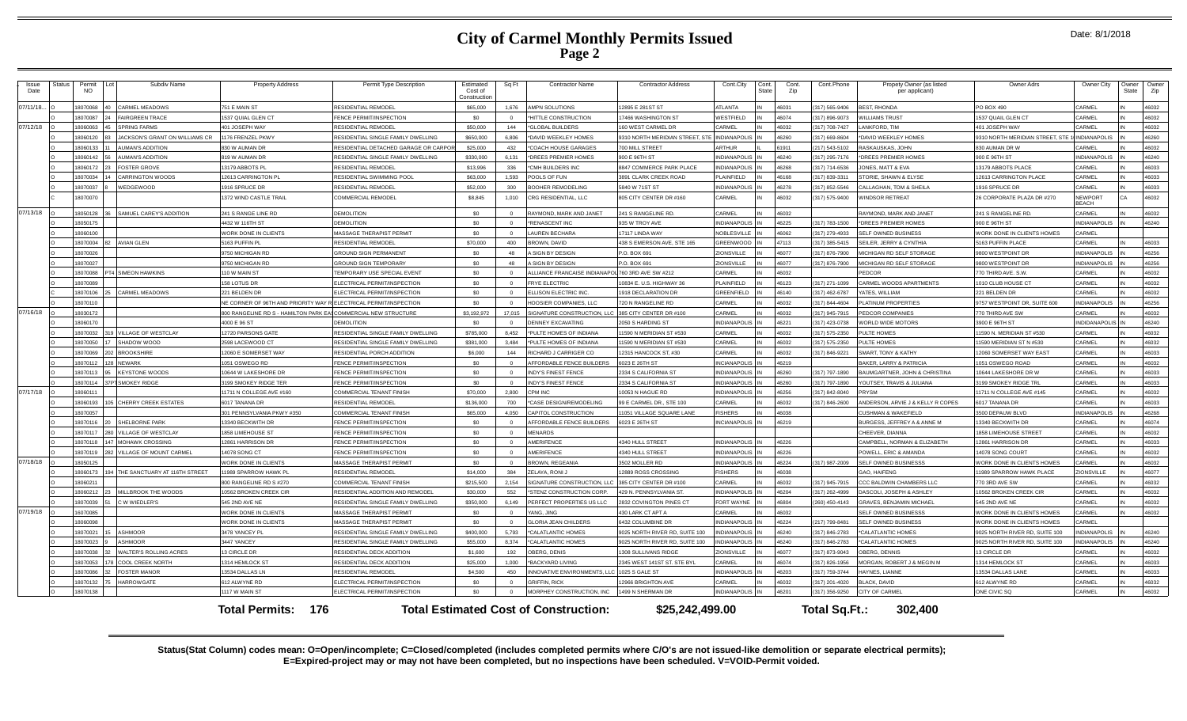| <b>Issue</b><br>Date | Status | Permit<br><b>NO</b> | Subdiv Name                   | <b>Property Address</b>                                          | Permit Type Description                                   | Estimated<br>Cost of<br>Constructio | Sq Ft        | <b>Contractor Name</b>                            | <b>Contractor Address</b>                   | Cont.City<br>Cont.<br><b>State</b> | Cont.<br>Zip   | Cont.Phone                     | Propety Owner (as listed<br>per applicant)       | Owner Adrs                                | Owner City                     | Owner<br>State | Owner<br>Zip   |
|----------------------|--------|---------------------|-------------------------------|------------------------------------------------------------------|-----------------------------------------------------------|-------------------------------------|--------------|---------------------------------------------------|---------------------------------------------|------------------------------------|----------------|--------------------------------|--------------------------------------------------|-------------------------------------------|--------------------------------|----------------|----------------|
| 07/11/18.            |        | 8070068             | ARMEL MEADOWS                 | 751 E MAIN ST                                                    | <b>RESIDENTIAL REMODEL</b>                                | \$65,000                            | 1.676        | AMPN SOLUTIONS                                    | 2895 E 281ST ST                             | ATLANTA                            | 46031          | 317) 565-9406                  | <b>BEST, RHONDA</b>                              | PO BOX 490                                | CARMEL                         |                | 46032          |
|                      |        | 8070087             | AIRGREEN TRACE                | 1537 QUIAL GLEN CT                                               | <b>FINCE PERMIT/INSPECTION</b>                            | \$0                                 |              | <b>HITTLE CONSTRUCTION</b>                        | 7466 WASHINGTON ST                          | WESTFIELD                          | 46074          | 317) 896-9073                  | <b>WILLIAMS TRUST</b>                            | 1537 QUAIL GLEN CT                        | CARMEL                         |                | 46032          |
| 07/12/18             |        | 8060063             | <b>PRING FARMS</b>            | 101 JOSEPH WAY                                                   | <b>RESIDENTIAL REMODEL</b>                                | \$50,000                            | 144          | *GLOBAL BUILDERS                                  | 60 WEST CARMEL DR                           | CARMEL                             | 46032          | 317) 708-7427                  | ANKFORD, TIM                                     | 401 JOSEPH WAY                            | CARME                          |                | 46032          |
|                      |        | 18060120            | ACKSON'S GRANT ON WILLIAMS CR | 176 FRENZEL PKWY                                                 | RESIDENTIAL SINGLE FAMILY DWELLING                        | \$650,000                           | 6.806        | *DAVID WEEKLEY HOMES                              | 310 NORTH MERIDIAN STREET, STE              | INDIANAPOLIS                       | 46260          | 317) 669-8604                  | DAVID WEEKLEY HOMES                              | 9310 NORTH MERIDIAN STREET, STE           | <b>INDIANAPOLIS</b>            |                | 46260          |
|                      |        | 18060133            | <b>UMAN'S ADDITION</b>        | 330 W AUMAN DR                                                   | RESIDENTIAL DETACHED GARAGE OR CARPO                      | \$25,000                            | 432          | <b>COACH HOUSE GARAGES</b>                        | 700 MILL STREET                             | ARTHUR                             | 61911          | 217) 543-5102                  | RASKAUSKAS, JOHN                                 | 830 AUMAN DR W                            | CARMEL                         |                | 46032          |
|                      |        | 8060142             | <b>AUMAN'S ADDITION</b>       | 819 W AUMAN DR                                                   | RESIDENTIAL SINGLE FAMILY DWELLING                        | \$330,000                           | 6.131        | *DREES PREMIER HOMES                              | 900 E 96TH ST                               | <b>INDIANAPOLIS</b>                | 46240          | (317) 295-7176                 | *DREES PREMIER HOMES                             | 900 E 96TH ST                             | <b>INDIANAPOLIS</b>            |                | 46240          |
|                      |        | 18060172            | <b>OSTER GROVE</b>            | 13179 ABBOTS PL                                                  | <b>RESIDENTIAL REMODEL</b>                                | \$13,996                            | 336          | <b>"CMH BUILDERS INC</b>                          | <b>8847 COMMERCE PARK PLACE</b>             | <b>INDIANAPOLIS</b>                | 46268          | (317) 714-6536                 | JONES, MATT & EVA                                | 3179 ABBOTS PLACE                         | CARMEL                         |                | 46033          |
|                      |        | 807003              | <b>ARRINGTON WOODS</b>        | 12613 CARRINGTON F                                               | RESIDENTIAL SWIMMING POOL                                 | \$63,000                            | 1.593        | POOLS OF FUN                                      | 3891 CLARK CREEK ROAD                       | PLAINFIELD                         | 46168          | 317) 839-3311                  | STORIE, SHAWN & FLYSE                            | 12613 CARRINGTON PLACE                    | CARMEI                         |                | 46033          |
|                      |        | 18070037            | VEDGEWOOD                     | 1916 SPRUCE DR                                                   | RESIDENTIAL REMODEL                                       | \$52,000                            | 300          | OOHER REMODELING                                  | 840 W 71ST ST                               | <b>INDIANAPOLIS</b>                | 46278          | 317) 852-5546                  | CALLAGHAN, TOM & SHEILA                          | 1916 SPRUCE DR                            | CARMEL                         |                | 46033          |
|                      |        | 18070070            |                               | 1372 WIND CASTLE TRAIL                                           | COMMERCIAL REMODEL                                        | \$8,845                             | 1.010        | CRG RESIDENTIAL, LLC                              | 805 CITY CENTER DR #160                     | CARMEL                             | 46032          | 317) 575-9400                  | WINDSOR RETREAT                                  | 26 CORPORATE PLAZA DR #270                | <b>NEWPORT</b><br><b>REACH</b> | CA             | 46032          |
| 07/13/18             |        | 8050128             | SAMUEL CAREY'S ADDITION       | 241 S RANGE LINE RD                                              | <b>DEMOLITION</b>                                         | sn.                                 |              | RAYMOND, MARK AND JANET                           | 241 S RANGELINE RD                          | CARMEL                             | 46032          |                                | RAYMOND, MARK AND JANET                          | 241 S RANGELINE RD                        | CARMEL                         |                | 46032          |
|                      |        | 8050175             |                               | 4432 W 116TH ST                                                  | <b>DEMOLITION</b>                                         | \$0                                 | $\sqrt{2}$   | *RENASCENT INC                                    | 335 W TROY AVE                              | <b>INDIANAPOLIS</b>                | 46225          | 317) 783-1500                  | <b>*DREES PREMIER HOMES</b>                      | 900 F 96TH ST                             | <b>INDIANAPOLIS</b>            |                | 46240          |
|                      |        | 18060100            |                               | <b><i>NORK DONE IN CLIENTS</i></b>                               | MASSAGE THERAPIST PERMIT                                  | \$0                                 | $\Omega$     | <b>AUREN BECHARA</b>                              | 17117 LINDA WAY                             | NOBLESVILLE                        | 46062          | 317) 279-4933                  | SELF OWNED BUSINESS                              | WORK DONE IN CLIENTS HOMES                | CARMEL                         |                |                |
|                      |        | 18070004            | <b>AVIAN GLEN</b>             | 5163 PUFFIN PL                                                   | RESIDENTIAL REMODEL                                       | \$70,000                            | 400          | BROWN, DAVID                                      | 438 S EMERSON AVE, STE 165                  | GREENWOOD                          | 47113          | (317) 385-5415                 | SEILER, JERRY & CYNTHIA                          | 5163 PUFFIN PLACE                         | CARMEL                         |                | 46033          |
|                      |        | 18070026            |                               | 9750 MICHIGAN RD                                                 | <b>GROUND SIGN PERMANENT</b>                              | \$0                                 | 48           | <b>SIGN BY DESIGN</b>                             | P.O. BOX 691                                | <b>ZIONSVILLE</b>                  | 46077          | 317) 876-7900                  | MICHIGAN RD SELF STORAGE                         | 9800 WESTPOINT DR                         | <b>INDIANAPOLIS</b>            |                | 46256          |
|                      |        | 8070027             |                               | <b>9750 MICHIGAN RD</b>                                          | <b>GROUND SIGN TEMPORARY</b>                              | S <sub>0</sub>                      | 48           | A SIGN BY DESIGN                                  | P.O. BOX 691                                | ZIONSVILLE                         | 46077          | 317) 876-7900                  | MICHIGAN RD SELF STORAGE                         | 9800 WESTPOINT DR                         | <b>INDIANAPOLIS</b>            |                | 46256          |
|                      |        | 8070088             | 4 SIMFON HAWKINS              | 110 W MAIN ST                                                    | TEMPORARY USE SPECIAL EVENT                               | \$0                                 | $\Omega$     | ALLIANCE FRANCAISE INDIANAPOL 760 3RD AVE SW #212 |                                             | CARMEL                             | 46032          |                                | PEDCOR                                           | 770 THIRD AVE, S.W                        | CARMEI                         |                | 46032          |
|                      |        | 807008              |                               | 158 LOTUS DR                                                     | ELECTRICAL PERMIT/INSPECTION                              | \$0                                 |              | <b>FRYE ELECTRIC</b>                              | 0834 E. U.S. HIGHWAY 36                     | PLAINFIELD                         | 46123          | 317) 271-1099                  | CARMEL WOODS APARTMENTS                          | 1010 CLUB HOUSE CT                        | CARMEI                         |                | 46032          |
|                      |        | 18070106            | <b>CARMEL MEADOWS</b>         | 221 BELDEN DR                                                    | ELECTRICAL PERMIT/INSPECTION                              | \$0                                 |              | <b>ELLISON ELECTRIC INC</b>                       | 1918 DECLARATION DR                         | GREENFIELD                         | 46140          | (317) 462-6787                 | YATES, WILLIAM                                   | 221 BELDEN DR                             | CARMEL                         |                | 46032          |
|                      |        | 8070110             |                               | NE CORNER OF 96TH AND PRIORITY WAY RELECTRICAL PERMIT/INSPECTION |                                                           | \$0                                 |              | HOOSIER COMPANIES, LLC                            | 720 N RANGELINE RD                          | CARMEL                             | 46032          | 317) 844-4604                  | PLATINUM PROPERTIES                              | 9757 WESTPOINT DR. SUITE 600              | <b>INDIANAPOLIS</b>            |                | 46256          |
| 07/16/18             |        | 8030172             |                               | 300 RANGELINE RD S - HAMILTON PARK EASCOMMERCIAL NEW STRUCTURE   |                                                           | \$3,192,972                         | 17.015       | SIGNATURE CONSTRUCTION, LLC                       | 385 CITY CENTER DR #100                     | CARMEL                             | 46032          | 317) 945-7915                  | <b>PEDCOR COMPANIES</b>                          | 770 THIRD AVE SW                          | CARMEL                         |                | 46032          |
|                      |        | 18060170            |                               | 4000 E 96 ST                                                     | DEMOLITION                                                | sn.                                 | $\sqrt{2}$   | DENNEY EXCAVATING                                 | 2050 S HARDING ST                           | <b>INDIANAPOLIS</b>                | 46221          | (317) 423-0738                 | WORLD WIDE MOTORS                                | 3900 E 96TH ST                            | INDIDANAPOLIS                  |                | 46240          |
|                      |        | 8070032             | <b>ILLAGE OF WESTCLAY</b>     | 12720 PARSONS GATE                                               | RESIDENTIAL SINGLE FAMILY DWELLING                        | \$785,000                           | 8.452        | *PULTE HOMES OF INDIANA                           | 1590 N MERIDIAN ST #530                     | CARMEL                             | 46032          | 317) 575-2350                  | PULTE HOMES                                      | 1590 N. MERIDIAN ST #530                  | CARMEL                         |                | 46032          |
|                      |        | 8070050             | SHADOW WOOD                   | 2598 LACEWOOD CT                                                 | RESIDENTIAL SINGLE FAMILY DWELLING                        | \$381,000                           | 3.484        | *PULTE HOMES OF INDIANA                           | 1590 N MERIDIAN ST #530                     | CARMEL                             | 46032          | (317) 575-2350                 | PULTE HOMES                                      | 1590 MERIDIAN ST N #530                   | CARMEL                         |                | 46032          |
|                      |        | 8070069             | <b>BROOKSHIRE</b>             | <b>12060 E SOMERSET WAY</b>                                      | RESIDENTIAL PORCH ADDITION                                | \$6,000                             | 144          | RICHARD J CARRIGER CO                             | 2315 HANCOCK ST. #30                        | CARMEL                             | 46032          | 317) 846-9221                  | SMART, TONY & KATHY                              | 2060 SOMERSET WAY EAST                    | CARMEI                         |                | <b>22084</b>   |
|                      |        | 8070112             | NEWARK                        | 1051 OSWEGO RD                                                   | FENCE PERMIT/INSPECTION                                   | \$0                                 | $\Omega$     | AFFORDABLE FENCE BUILDERS                         | 6023 E 26TH ST                              | <b>INCIANAPOLIS</b>                | 46219          |                                | <b>BAKER, LARRY &amp; PATRICIA</b>               | 1051 OSWEGO ROAD                          | CARMEL                         |                | 46032          |
|                      |        | 18070113            | <b>KEYSTONE WOODS</b>         | 10644 W LAKESHORE DR                                             | FENCE PERMIT/INSPECTION                                   | \$0                                 | $\sqrt{ }$   | <b>INDY'S FINEST FENCE</b>                        | 2334 S CALIFORNIA ST                        | <b>INDIANAPOLIS</b>                | 46260          | (317) 797-1890                 | BAUMGARTNER, JOHN & CHRISTINA                    | 10644 LAKESHORE DR W                      | CARMEL                         |                | 46033          |
|                      |        | 8070114             | <b>SMOKEY RIDGE</b>           | 3199 SMOKEY RIDGE TER                                            | <b>FNCF PERMIT/INSPECTION</b>                             | \$0                                 | $\sqrt{2}$   | <b>INDY'S FINEST FENCE</b>                        | 2334 S CALIFORNIA ST                        | <b>INDIANAPOLIS</b>                | 46260          | (317) 797-1890                 | YOUTSEY, TRAVIS & JULIANA                        | 3199 SMOKEY RIDGE TRI                     | CARMEL                         |                | 46033          |
| 07/17/18             |        | 1806011<br>1806019  | CHERRY CREEK ESTATES          | 1711 N COLLEGE AVE #160<br>6017 TANANA DR                        | COMMERCIAL TENANT FINISH<br><b>RESIDENTIAL REMODE</b>     | \$70,000<br>\$136,000               | 2.800        | PM INC                                            | 0053 N HAGUE RD<br>99 E CARMEL DR., STE 100 | <b>INDIANAPOLIS</b><br>CARMEL      | 46256<br>46032 | 317) 842-8040<br>317) 846-2600 | <b>RYSM</b><br>ANDERSON, ARVIE J & KELLY R COPES | 1711 N COLLEGE AVE #145<br>6017 TANANA DR | CARMEI<br>CARMEL               |                | 46032          |
|                      |        | 8070057             |                               |                                                                  |                                                           | \$65,000                            | 700<br>4.050 | *CASE DESIGN/REMODELING                           |                                             | <b>FISHERS</b>                     | 46038          |                                | CUSHMAN & WAKEFIFLD                              | 3500 DEPAUW BLVD                          | <b>INDIANAPOLIS</b>            |                | 46033<br>46268 |
|                      |        | 18070116            | SHELBORNE PARK                | 301 PENNSYLVANIA PKWY #350<br>13340 BECKWITH DR                  | COMMERCIAL TENANT FINISH<br><b>ENCE PERMIT/INSPECTION</b> | sn                                  |              | CAPITOL CONSTRUCTION<br>AFFORDABLE FENCE BUILDERS | 1051 VILLAGE SQUARE LANE                    | INCIANAPOLIS IN                    | 46219          |                                | BURGESS, JEFFREY A & ANNE M                      | 13340 BECKWITH DR                         | CARMEL                         |                | 46074          |
|                      |        | 8070117             | <b>ILLAGE OF WESTCLAY</b>     | <b>1858 LIMEHOUSE ST</b>                                         | FENCE PERMIT/INSPECTION                                   | \$0                                 | $\Omega$     | MENARDS                                           | 6023 E 26TH ST                              |                                    |                |                                | CHEEVER, DIANNA                                  | <b>858 LIMEHOUSE STREET</b>               | CARMEL                         |                | 46032          |
|                      |        | 8070118             | MOHAWK CROSSING               | 12861 HARRISON DR                                                | FENCE PERMIT/INSPECTION                                   | \$0                                 |              | AMERIFENCE                                        | 4340 HULL STREE                             | <b>INDIANAPOLIS</b>                | 46226          |                                | CAMPBELL, NORMAN & ELIZABETH                     | <b>2861 HARRISON DI</b>                   | CARME                          |                | 46033          |
|                      |        | 18070119            | ILLAGE OF MOUNT CARMEL        | 14078 SONG CT                                                    | FENCE PERMIT/INSPECTION                                   | \$0                                 |              | AMERIFENCE                                        | 4340 HULL STREET                            | <b>INDIANAPOLIS</b>                | 46226          |                                | POWELL, ERIC & AMANDA                            | 14078 SONG COURT                          | CARMEL                         |                | 46032          |
| 07/18/18             |        | 8050125             |                               | <b>NORK DONE IN CLIENTS</b>                                      | MASSAGE THERAPIST PERMIT                                  | \$0                                 | $\Omega$     | <b>BROWN REGEANIA</b>                             | 502 MOLLER RD                               | INDIANAPOLIS                       | 46224          | 317) 987-2009                  | SELF OWNED BUSINESSS                             | WORK DONE IN CLIENTS HOMES                | CARMEL                         |                | 46032          |
|                      |        | 18060173            | HE SANCTUARY AT 116TH STREET  | 1989 SPARROW HAWK PL                                             | RESIDENTIAL REMODEL                                       | \$14,000                            | 384          | <b>ELAYA, RONIJ</b>                               | 2889 ROSS CROSSING                          | <b>FISHERS</b>                     | 46038          |                                | <b>SAO, HAIFENG</b>                              | 1989 SPARROW HAWK PLACE                   | <b>ZIONSVILLE</b>              |                | 46077          |
|                      |        | 1806021             |                               | 300 RANGELINE RD S #270                                          | COMMERCIAL TENANT FINISH                                  | \$215,500                           | 2,154        | SIGNATURE CONSTRUCTION, L                         | 385 CITY CENTER DR #100                     | CARMEL                             | 46032          | (317) 945-7915                 | CCC BALDWIN CHAMBERS LLC                         | 770 3RD AVE SV                            | CARMEL                         |                | 46032          |
|                      |        | 8060212             | <b>MILLBROOK THE WOODS</b>    | 10562 BROKEN CREEK CIR                                           | RESIDENTIAL ADDITION AND REMODEL                          | \$30,000                            | 552          | <b>STENZ CONSTRUCTION CORP</b>                    | 429 N. PENNSYLVANIA ST.                     | <b>INDIANAPOLIS</b> IN             | 46204          | (317) 262-4999                 | <b>DASCOLI, JOSEPH &amp; ASHLEY</b>              | 10562 BROKEN CREEK CIR                    | CARMEL                         |                | 46032          |
|                      |        | 8070039             | W WIEDLER'S                   | 545 2ND AVF NF                                                   | RESIDENTIAL SINGLE FAMILY DWELLING                        | \$350,000                           | 6,149        | PERFECT PROPERTIES US LLC                         | 2832 COVINGTON PINES CT                     | FORT WAYNE                         | 46804          | 260) 450-4143                  | <b>GRAVES, BENJAMIN MICHAEL</b>                  | 545 2ND AVE NE                            | CARMEL                         |                | 46032          |
| 07/19/18             |        | 6070085             |                               | <b><i>NORK DONE IN CLIENTS</i></b>                               | MASSAGE THERAPIST PERMIT                                  | \$0                                 | $\Omega$     | ANG, JING                                         | 430 LARK CT APT                             | CARMEL                             | 46032          |                                | SELF OWNED BUSINESSS                             | WORK DONE IN CLIENTS HOMES                | CARMEI                         |                | 46032          |
|                      |        | <b>POORDRI</b>      |                               | <b>NORK DONE IN CLIENTS</b>                                      | MASSAGE THERAPIST PERMIT                                  | \$0                                 |              | <b>ILORIA JEAN CHILDERS</b>                       | <b>6432 COLUMBINE DR</b>                    | <b>INDIANAPOLIS</b>                | 46224          | (217) 799-8481                 | <b>SELF OWNED BUSINESS</b>                       | WORK DONE IN CLIENTS HOMES                | CARMEL                         |                |                |
|                      |        | 8070021             | <b>ASHMOOR</b>                | 3478 YANCEY PL                                                   | RESIDENTIAL SINGLE FAMILY DWELLING                        | \$400,000                           | 5,793        | <b>"CALATLANTIC HOMES</b>                         | 9025 NORTH RIVER RD, SUITE 100              | <b>INDIANAPOLIS</b>                | 46240          | 317) 846-2783                  | <b>CALATLANTIC HOMES</b>                         | 9025 NORTH RIVER RD. SUITE 100            | <b>INDIANAPOLIS</b>            |                | 46240          |
|                      |        | 8070023             | ASHMOOR                       | 3447 YANCEY                                                      | RESIDENTIAL SINGLE FAMILY DWELLING                        | \$55,000                            | 8.374        | *CALATLANTIC HOMES                                | 025 NORTH RIVER RD SUITE 100                | <b>ZI IORANDIAI</b>                | 46240          | 317) 846-2783                  | *CALATLANTIC HOMES                               | 9025 NORTH RIVER RD, SUITE 100            | INDIANAPOLIS                   |                | 46240          |
|                      |        | 8070038             | <b>WALTER'S ROLLING ACRES</b> | <b>13 CIRCLE DR</b>                                              | RESIDENTIAL DECK ADDITION                                 | \$1,600                             | 192          | OBERG, DENIS                                      | 308 SULLIVANS RIDGE                         | ZIONSVILLE                         | 46077          | 317) 873-9043                  | OBERG, DENNIS                                    | 3 CIRCLE DR                               | CARMEL                         |                | 46032          |
|                      |        | 807005              | <b>COOL CREEK NORTH</b>       | 1314 HEMLOCK ST                                                  | RESIDENTIAL DECK ADDITION                                 | \$25,000                            | 1.000        | <b>"RACKYARD LIVING</b>                           | 2345 WEST 141ST ST, STE BYL                 | CARMEL                             | 46074          | (317) 826-1956                 | MORGAN, ROBERT J & MEGIN M                       | 1314 HEMLOCK ST                           | CARMEI                         |                | 46033          |
|                      |        | 8070086             | <b>OSTER MANOR</b>            | 13534 DALLAS LN                                                  | <b>RESIDENTIAL REMODEL</b>                                | \$4,500                             | 450          | NNOVATIVE ENVIRONMENTS, LLC                       | 1025 S GALE ST                              | <b>INDIANAPOLIS</b>                | 46203          | 317) 759-3744                  | HAYNES, LIANNE                                   | 3534 DALLAS LANE                          | CARMEL                         |                | 46033          |
|                      |        | 8070132             | <b>IARROWGATE</b>             | 612 ALWYNE RD                                                    | ELECTRICAL PERMIT/INSPECTION                              | \$0                                 |              | <b>GRIFFIN, RICK</b>                              | 2966 BRIGHTON AVE                           | CARMEL                             | 46032          | (317) 201-4020                 | <b>BLACK, DAVID</b>                              | 612 ALWYNE RD                             | CARMEL                         |                | 46032          |
|                      |        | 18070138            |                               | 1117 W MAIN ST                                                   | ELECTRICAL PERMIT/INSPECTION                              |                                     |              | <b>IORPHEY CONSTRUCTION, INC.</b>                 | 1499 N SHERMAN DR                           | NDIANAPOLIS IN                     | 46201          | 317) 356-9250                  | CITY OF CARMEL                                   | ONE CIVIC SQ                              | CARMEI                         |                | 46032          |
|                      |        |                     |                               | <b>Total Permits: 176</b>                                        |                                                           |                                     |              | <b>Total Estimated Cost of Construction:</b>      | \$25,242,499.00                             |                                    |                | Total Sq.Ft.:                  | 302.400                                          |                                           |                                |                |                |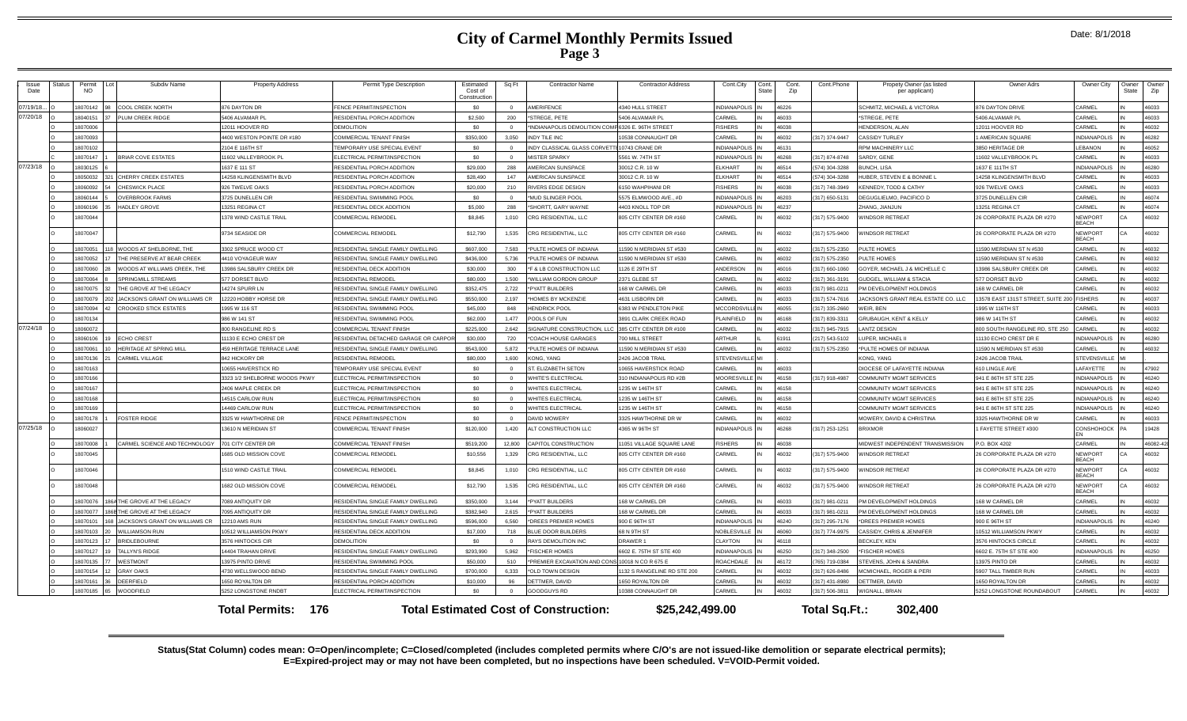| Issue<br>Date | Status | Permit<br><b>NO</b> | Subdiv Name                    | <b>Property Address</b>                             | Permit Type Description                                            | Estimated<br>Cost of<br>Constructio | Sq Ft                | <b>Contractor Name</b>                                | <b>Contractor Address</b>                | Cont.City                    | Cont.<br><b>State</b> | Cont.<br>Zip   | Cont.Phone     | Propety Owner (as listed<br>per applicant)                | Owner Adrs                                     | Owner City                                 | Owner<br>State | Owner<br>Zip   |
|---------------|--------|---------------------|--------------------------------|-----------------------------------------------------|--------------------------------------------------------------------|-------------------------------------|----------------------|-------------------------------------------------------|------------------------------------------|------------------------------|-----------------------|----------------|----------------|-----------------------------------------------------------|------------------------------------------------|--------------------------------------------|----------------|----------------|
| 07/19/18.     |        | 8070142             | COOL CREEK NORTH               | <b>B76 DAYTON DR</b>                                | <b>ENCE PERMIT/INSPECTION</b>                                      | \$0                                 |                      | AMERIFENCE                                            | 340 HULL STREET                          | <b>INDIANAPOLIS</b>          |                       | 46226          |                | SCHMITZ, MICHAEL & VICTORIA                               | <b>376 DAYTON DRIVE</b>                        | CARMEL                                     |                | 16033          |
| 07/20/18      |        | 8040151             | LUM CREEK RIDGE                | 406 ALVAMAR PL                                      | RESIDENTIAL PORCH ADDITION                                         | \$2,500                             | 200                  | *STREGE, PETE                                         | 5406 ALVAMAR PL                          | CARMEL                       |                       | 46033          |                | *STREGE, PETE                                             | 406 ALVAMAR PL                                 | CARMEL                                     |                | 46033          |
|               |        | 18070006            |                                | 12011 HOOVER RD                                     | DEMOLITION                                                         | \$0                                 |                      | *INDIANAPOLIS DEMOLITION COMP 6326 E. 96TH STREET     |                                          | <b>FISHERS</b>               |                       | 46038          |                | HENDERSON, ALAN                                           | 12011 HOOVER RD                                | CARMEI                                     |                | 16032          |
|               |        | 18070093            |                                | 4400 WESTON POINTE DR #180                          | COMMERCIAL TENANT FINISH                                           | \$350,000                           | 3.050                | <b>INDY TILE INC</b>                                  | 10538 CONNAUGHT DR                       | CARMEL                       |                       | 46032          | 317) 374-9447  | <b>CASSIDY TURLEY</b>                                     | AMERICAN SQUARE                                | <b>INDIANAPOLIS</b>                        |                | 46282          |
|               |        | 18070102            |                                | 2104 E 116TH ST                                     | EMPORARY USE SPECIAL EVENT                                         | \$0                                 |                      | INDY CLASSICAL GLASS CORVET                           | 10743 CRANE DR                           | <b>INDIANAPOLIS</b>          |                       | 46131          |                | RPM MACHINERY LLC                                         | <b>8850 HERITAGE DR</b>                        | LEBANON                                    |                | 46052          |
|               |        | 18070147            | BRIAR COVE ESTATES             | 1602 VALLEYBROOK PL                                 | LECTRICAL PERMIT/INSPECTION                                        | \$0                                 | $\Omega$             | <b>MISTER SPARKY</b>                                  | 561 W. 74TH ST                           | <b>INDIANAPOLIS</b>          |                       | 46268          | 317) 874-8748  | SARDY, GENE                                               | 1602 VALLEYBROOK PL                            | CARMEL                                     |                | 46033          |
| 07/23/18      |        | 18030125            |                                | 637 E 111 ST                                        | RESIDENTIAL PORCH ADDITION                                         | \$29,000                            | 288                  | <b>MERICAN SUNSPACE</b>                               | 0012 C.R. 10 W                           | ELKHART                      |                       | 46514          | 574) 304-3288  | <b>BUNCH, LISA</b>                                        | 637 E 111TH ST                                 | <b>INDIANAPOLIS</b>                        |                | 46280          |
|               |        | 18050032            | <b>CHERRY CREEK ESTATES</b>    | 4258 KLINGENSMITH BLVD                              | RESIDENTIAL PORCH ADDITION                                         | \$28,490                            | 147                  | AMERICAN SUNSPACE                                     | 30012 C.R. 10 W                          | FI KHART                     |                       | 46514          | 574) 304-3288  | HUBER, STEVEN E & BONNIE L                                | 4258 KLINGENSMITH BLVD                         | CARMEI                                     |                | 16033          |
|               |        | 8060092             | CHESWICK PLACE                 | 926 TWELVE OAKS                                     | RESIDENTIAL PORCH ADDITION                                         | \$20,000                            | 210                  | <b>RIVERS EDGE DESIGN</b>                             | 150 WAHPIHANI DR                         | <b>FISHERS</b>               |                       | 46038          | 317) 748-3949  | <b>KENNEDY, TODD &amp; CATHY</b>                          | <b>26 TWELVE OAKS</b>                          | CARMEL                                     |                | 46033          |
|               |        | 8060144             | <b>OVERBROOK FARMS</b>         | <b>3725 DUNELLEN CIR</b>                            | RESIDENTIAL SWIMMING POOL                                          | sn.                                 | $\Omega$             | 'MUD SLINGER POOL                                     | 5575 ELMWOOD AVE., #D                    | <b>INDIANAPOLIS</b>          |                       | 46203          | 317) 650-5131  | DEGUGLIELMO, PACIFICO D                                   | 3725 DUNELLEN CIR                              | CARMEL                                     |                | 46074          |
|               |        | 8060196             | <b>HADLEY GROVE</b>            | 3251 REGINA CT                                      | RESIDENTIAL DECK ADDITION                                          | \$5,000                             | 288                  | SHORTT, GARY WAYNE                                    | 403 KNOLL TOP DR                         | <b>INDIANAPOLIS</b>          |                       | 46237          |                | ZHANG, JIANJUN                                            | 3251 REGINA CT                                 | CARMEL                                     |                | 16074          |
|               |        | 18070044            |                                | 378 WIND CASTLE TRAIL                               | COMMERCIAL REMODEL                                                 | \$8,845                             | 1.010                | CRG RESIDENTIAL, LLC                                  | 805 CITY CENTER DR #160                  | CARMEL                       |                       | 46032          | (317) 575-9400 | WINDSOR RETREAT                                           | 26 CORPORATE PLAZA DR #270                     | NEWPORT<br><b>BFACH</b>                    | ٦A             | 46032          |
|               |        | 18070047            |                                | <b>9734 SEASIDE DR</b>                              | COMMERCIAL REMODEL                                                 | \$12,790                            | 1.535                | CRG RESIDENTIAL, LLC                                  | 805 CITY CENTER DR #160                  | CARMEL                       |                       | 46032          | (317) 575-9400 | <b>WINDSOR RETREAT</b>                                    | 26 CORPORATE PLAZA DR #270                     | <b>NEWPORT</b><br>REACH                    | ٦A             | 46032          |
|               |        | 8070051             | WOODS AT SHELBORNE, THE        | 3302 SPRUCE WOOD CT                                 | RESIDENTIAL SINGLE FAMILY DWELLING                                 | \$607,000                           | 7,583                | *PULTE HOMES OF INDIANA                               | 1590 N MERIDIAN ST #530                  | CARMEL                       |                       | 46032          | 317) 575-2350  | PULTE HOMES                                               | 1590 MERIDIAN ST N #530                        | CARMEL                                     |                | 16032          |
|               |        | 8070052             | THE PRESERVE AT BEAR CREEK     | 4410 VOYAGEUR WAY                                   | RESIDENTIAL SINGLE FAMILY DWELLING                                 | \$436,000                           | 5.736                | *PULTE HOMES OF INDIANA                               | 1590 N MERIDIAN ST #530                  | CARMEL                       |                       | 46032          | 317) 575-2350  | PULTE HOMES                                               | 1590 MERIDIAN ST N #530                        | CARMEI                                     |                | 16032          |
|               |        | 8070060             | VOODS AT WILLIAMS CREEK, THE   | 3986 SALSBURY CREEK DR                              | RESIDENTIAL DECK ADDITION                                          | \$30,000                            | 300                  | F & LB CONSTRUCTION LLC                               | 126 E 29TH ST                            | ANDERSON                     |                       |                | 317) 660-1060  | GOYER, MICHAEL J & MICHELLE C                             | 3986 SALSBURY CREEK DR                         | CARMEI                                     |                | 16032          |
|               |        | 18070064            | SPRINGMILL STREAMS             | 577 DORSET BLVD                                     | RESIDENTIAL REMODE                                                 | \$80,000                            | 1.500                | *WILLIAM GORDON GROUP                                 | 2371 GLEBE ST                            | CARMEL                       |                       | 46032          | (317) 361-3191 | GUDGEL, WILLIAM & STACIA                                  | <b>577 DORSET BLVD</b>                         | CARMEI                                     |                | 16032          |
|               |        | 8070075             | THE GROVE AT THE LEGACY        | 14274 SPURR LN                                      | RESIDENTIAL SINGLE FAMILY DWELLING                                 | \$352,475                           | 2.722                | *PYATT BUILDERS                                       | 68 W CARMEL DR                           | CARMEL                       |                       | 46033          | 317) 981-0211  | PM DEVELOPMENT HOLDINGS                                   | 68 W CARMEL DR                                 | CARMEL                                     |                | 46032          |
|               |        | 8070079             | JACKSON'S GRANT ON WILLIAMS CR | 2220 HOBBY HORSE DR                                 | RESIDENTIAL SINGLE FAMILY DWELLING                                 | \$550,000                           | 2.197                | <b>HOMES BY MCKENZIE</b>                              | 4631 LISBORN DR                          | CARMEL                       |                       | <b>22034</b>   | 317) 574-7616  | JACKSON'S GRANT REAL ESTATE CO. LLC                       | 3578 EAST 131ST STREET, SUITE 200              | <b>FISHERS</b>                             |                | 16037          |
|               |        | 8070094             | <b>CROOKED STICK ESTATES</b>   | 995 W 116 ST                                        | RESIDENTIAL SWIMMING POOL                                          | \$45,000                            | 848                  | <b>IENDRICK POOL</b>                                  | 383 W PENDLETON PIKE                     | <b>MCCORDSVIL</b>            |                       | 46055          | 317) 335-2660  | WEIR, BEN                                                 | 995 W 116TH ST                                 | CARMEL                                     |                | 16033          |
|               |        | 18070134            |                                | 386 W 141 ST                                        | RESIDENTIAL SWIMMING POOL                                          | \$62,000                            | 1 477                | POOLS OF FUN                                          | 3891 CLARK CREEK ROAD                    | PLAINFIELD                   |                       | 46168          | 317) 839-3311  | GRUBAUGH, KENT & KELLY                                    | <b>RA W 141TH ST</b>                           | CARMEL                                     |                | 46032          |
| 07/24/18      |        | 18060072            |                                | <b>BOO RANGELINE RD S</b>                           | COMMERCIAL TENANT FINISH                                           | \$225,000                           | 2.642                | SIGNATURE CONSTRUCTION, L                             | 385 CITY CENTER DR #100                  | CARMEL                       |                       | 46032          | (317) 945-7915 | <b>LANTZ DESIGN</b>                                       | 300 SOUTH RANGELINE RD, STE 250                | CARMEL                                     |                | 46032          |
|               |        | 80108081            | <b>ECHO CREST</b>              | 1130 E ECHO CREST DR                                | RESIDENTIAL DETACHED GARAGE OR CARPO                               | \$30,000                            | 720                  | *COACH HOUSE GARAGES                                  | 00 MILL STREET                           | <b>ARTHUR</b>                |                       | 61911          | (217) 543-5102 | LUPER, MICHAEL I                                          | 1130 ECHO CREST DR E                           | <b>INDIANAPOLIS</b>                        |                | 16280          |
|               |        | 8070061             | <b>HERITAGE AT SPRING MILL</b> | <b>159 HERITAGE TERRACE LANE</b>                    | RESIDENTIAL SINGLE FAMILY DWELLING                                 | \$543,000                           | 5.872                | *PULTE HOMES OF INDIANA                               | 1590 N MERIDIAN ST #530                  | CARMEL                       |                       | 46032          | 317) 575-2350  | *PULTE HOMES OF INDIANA                                   | 1590 N MERIDIAN ST #530                        | CARMEL                                     |                | 16032          |
|               |        | 18070136            | CARMEL VILLAGE                 | <b>842 HICKORY DR</b>                               | RESIDENTIAL REMODE                                                 | \$80,000                            | 1.600                | KONG, YANG                                            | 2426 JACOB TRAIL                         | <b>STEVENSVILL</b>           |                       |                |                | KONG, YANG                                                | 2426 JACOB TRAIL                               | <b>STEVENSVILLI</b>                        |                |                |
|               |        | 18070163<br>8070166 |                                | 10655 HAVERSTICK RD                                 | <b>EMPORARY USE SPECIAL EVENT</b>                                  | -SO                                 | $\Omega$             | ST. ELIZABETH SETON                                   | 0655 HAVERSTICK ROAD                     | CARMEL                       |                       | 46033          |                | DIOCESE OF LAFAYETTE INDIANA                              | <b>310 LINGLE AVE</b>                          | LAFAYETTE                                  |                | 47902          |
|               |        | 8070167             |                                | 3323 1/2 SHELBORNE WOODS PKWY<br>406 MAPLE CREEK DR | <b>I ECTRICAL PERMIT/INSPECTION</b><br>LECTRICAL PERMIT/INSPECTION | \$0<br>\$0                          | $\Omega$<br>$\Omega$ | <b>WHITE'S ELECTRICAL</b><br><b>WHITES ELECTRICAL</b> | 10 INDIANAPOLIS RD #2B<br>235 W 146TH ST | <b>MOORESVILLE</b><br>CARMEL |                       | 46158<br>46158 | 317) 918-4987  | <b>COMMUNITY MGMT SERVICES</b><br>COMMUNITY MGMT SERVICES | 941 E 86TH ST STE 225<br>941 E 86TH ST STE 225 | <b>INDIANAPOLIS</b><br><b>INDIANAPOLIS</b> |                | 46240<br>16240 |
|               |        | 1807016             |                                | 14515 CARLOW RUN                                    | <b>ELECTRICAL PERMIT/INSPECTION</b>                                | \$0                                 | $\Omega$             | <b>WHITES ELECTRICAL</b>                              | 1235 W 146TH ST                          | CARMEL                       |                       | 46158          |                | <b>COMMUNITY MGMT SERVICES</b>                            | 941 E 86TH ST STE 225                          | INDIANAPOLIS                               |                | 16240          |
|               |        | 18070169            |                                | 14469 CARLOW RUN                                    | LECTRICAL PERMIT/INSPECTION                                        | \$0                                 |                      | <b>WHITES ELECTRICAL</b>                              | 235 W 146TH ST                           | CARMEL                       |                       | 46158          |                | COMMUNITY MGMT SERVICES                                   | 941 E 86TH ST STE 225                          | <b>INDIANAPOLIS</b>                        |                | 16240          |
|               |        | 18070178            | <b>FOSTER RIDGE</b>            | 3325 W HAWTHORNE DR                                 | <b>ENCE PERMIT/INSPECTION</b>                                      | SO                                  | $\Omega$             | <b>DAVID MOWERY</b>                                   | 3325 HAWTHORNE DR W                      | CARMEL                       |                       | 46032          |                | MOWERY, DAVID & CHRISTINA                                 | 3325 HAWTHORNE DR W                            | CARMEL                                     |                | 16033          |
| 07/25/18      |        | 8060027             |                                | 3610 N MERIDIAN ST                                  | COMMERCIAL TENANT FINISH                                           | \$120,000                           | 1,420                | ALT CONSTRUCTION LLC                                  | 4365 W 96TH ST                           | NDIANAPOLIS                  |                       | 46268          | (317) 253-1251 | <b>BRIXMOR</b>                                            | FAYETTE STREET #300                            | CONSHOHOCK                                 |                | 19428          |
|               |        |                     |                                |                                                     |                                                                    |                                     |                      |                                                       |                                          |                              |                       |                |                |                                                           |                                                |                                            |                |                |
|               |        | 8070008             | CARMEL SCIENCE AND TECHNOLOGY  | 701 CITY CENTER DR                                  | COMMERCIAL TENANT FINISH                                           | \$519,200                           | 12.800               | CAPITOL CONSTRUCTION                                  | 1051 VILLAGE SQUARE LANE                 | <b>ISHERS</b>                |                       | 46038          |                | MIDWEST INDEPENDENT TRANSMISSION                          | P.O. BOX 4202                                  | CARMEL                                     |                | 46082-420      |
|               |        | 8070045             |                                | 685 OLD MISSION COVE                                | COMMERCIAL REMODEL                                                 | \$10,556                            | 1.329                | CRG RESIDENTIAL, LLC                                  | 805 CITY CENTER DR #160                  | CARMEL                       |                       | 46032          | (317) 575-9400 | WINDSOR RETREAT                                           | <b>26 CORPORATE PLAZA DR #270</b>              | NFWPORT<br><b>BEACH</b>                    |                | 46032          |
|               |        | 18070046            |                                | 510 WIND CASTLE TRAIL                               | COMMERCIAL REMODEL                                                 | \$8,845                             | 1.010                | CRG RESIDENTIAL, LLC                                  | 805 CITY CENTER DR #160                  | CARMEL                       |                       | 46032          | (317) 575-9400 | WINDSOR RETREAT                                           | 26 CORPORATE PLAZA DR #270                     | <b>NEWPORT</b><br>BEACH                    | ۵.             | 46032          |
|               |        | 18070048            |                                | 682 OLD MISSION COVE                                | COMMERCIAL REMODEL                                                 | \$12,790                            | 1,535                | CRG RESIDENTIAL, LLC                                  | 805 CITY CENTER DR #160                  | CARMEL                       |                       | 46032          | (317) 575-9400 | WINDSOR RETREAT                                           | 26 CORPORATE PLAZA DR #270                     | <b>NEWPORT</b><br>BEACH                    |                | 46032          |
|               |        | 18070076            | 86A THE GROVE AT THE LEGACY    | <b>7089 ANTIOUITY DE</b>                            | RESIDENTIAL SINGLE FAMILY DWELLING                                 | \$350,000                           |                      | 3,144 *PYATT BUILDERS                                 | 168 W CARMEL DR                          | CARMEL                       |                       | 46033          | (317) 981-0211 | PM DEVELOPMENT HOLDINGS                                   | 168 W CARMEL DR                                | CARMEL                                     |                | 16032          |
|               |        | 807007              | THE GROVE AT THE LEGACY        | 7095 ANTIQUITY DR                                   | RESIDENTIAL SINGLE FAMILY DWELLING                                 | \$382,940                           | 2.615                | *PYATT BUILDERS                                       | 168 W CARMEL DF                          | CARMEL                       |                       | 46033          | (317) 981-0211 | PM DEVELOPMENT HOLDINGS                                   | 68 W CARMEL DR                                 | CARMEI                                     |                | 46032          |
|               |        | 1807010             | JACKSON'S GRANT ON WILLIAMS CR | 12210 AMS RUN                                       | RESIDENTIAL SINGLE FAMILY DWELLING                                 | \$596,000                           | 6.560                | *DREES PREMIER HOMES                                  | 900 E 96TH ST                            | INDIANAPOLI:                 |                       | 46240          | (317) 295-7176 | *DREES PREMIER HOMES                                      | 900 E 96TH ST                                  | <b>INDIANAPOLIS</b>                        |                | 16240          |
|               |        | 18070103            | <b>WILLIAMSON RUN</b>          | 0512 WILLIAMSON PKWY                                | RESIDENTIAL DECK ADDITION                                          | \$17,000                            | 718                  | <b>BLUE DOOR BUILDERS</b>                             | 68 N 9TH ST                              | <b>NOBLESVILLE</b>           |                       | 46060          | 317) 774-9975  | CASSIDY, CHRIS & JENNIFER                                 | 0512 WILLIAMSON PKWY                           | CARMEL                                     |                | 16032          |
|               |        | 18070123            | <b>BRIDLEBOURNE</b>            | 3576 HINTOCKS CIF                                   | DEMOLITION                                                         | \$0                                 | $\Omega$             | RAYS DEMOLITION INC                                   | DRAWER 1                                 | CLAYTON                      |                       | 46118          |                | <b>BECKLEY, KEN</b>                                       | 3576 HINTOCKS CIRCLE                           | CARMEL                                     |                | 16032          |
|               |        | 8070127             | <b>TALLYN'S RIDGE</b>          | 4404 TRAHAN DRIVE                                   | RESIDENTIAL SINGLE FAMILY DWELLING                                 | \$293,990                           | 5.962                | *FISCHER HOMES                                        | 6602 E. 75TH ST STE 400                  | <b>INDIANAPOLIS</b>          |                       | 46250          | 317) 348-2500  | *FISCHER HOMES                                            | 602 E. 75TH ST STE 400                         | <b>INDIANAPOLIS</b>                        |                | 46250          |
|               |        | 807013              | WESTMONT                       | 13975 PINTO DRIVE                                   | RESIDENTIAL SWIMMING POOL                                          | \$50,000                            | 510                  | *PREMIER EXCAVATION AND CONS                          | 0018 N CO R 675 E                        | <b>ROACHDALE</b>             |                       | 46172          | 765) 719-0384  | STEVENS, JOHN & SANDRA                                    | 3975 PINTO DR                                  | CARMEI                                     |                | 16032          |
|               |        | 18070154            | <b>GRAY OAKS</b>               | 4730 WELLSWOOD BEND                                 | RESIDENTIAL SINGLE FAMILY DWELLING                                 | \$700,000                           | 6.333                | *OLD TOWN DESIGN                                      | 132 S RANGELINE RD STE 200               | CARMEL                       |                       | 46032          | 317) 626-8486  | MCMICHAEL, ROGER & PERI                                   | 5907 TALL TIMBER RUN                           | CARMEL                                     |                | 46033          |
|               |        | 18070161            | DEERFIELD                      | 1650 ROYALTON DR                                    | RESIDENTIAL PORCH ADDITION                                         | \$10,000                            | 96                   | DETTMER, DAVID                                        | 650 ROYALTON DR                          | CARMEL                       |                       | 46032          | 317) 431-8980  | DETTMER, DAVID                                            | 650 ROYALTON DR                                | CARMEL                                     |                | 16032          |
|               |        | 18070185            | WOODFIELD                      | <b>252 LONGSTONE RNDBT</b>                          | <b>ELECTRICAL PERMIT/INSPECTION</b>                                |                                     |                      | GOODGUYS RD                                           | 0388 CONNAUGHT DR                        | <b>ARMEL</b>                 |                       | 46032          | 317) 506-3811  | WIGNALL, BRIAN                                            | <b>252 LONGSTONE ROUNDABOUT</b>                | CARMEL                                     |                | 16032          |
|               |        |                     |                                | 176<br><b>Total Permits:</b>                        |                                                                    |                                     |                      | <b>Total Estimated Cost of Construction:</b>          | \$25,242,499.00                          |                              |                       |                | Total Sq.Ft.:  | 302.400                                                   |                                                |                                            |                |                |